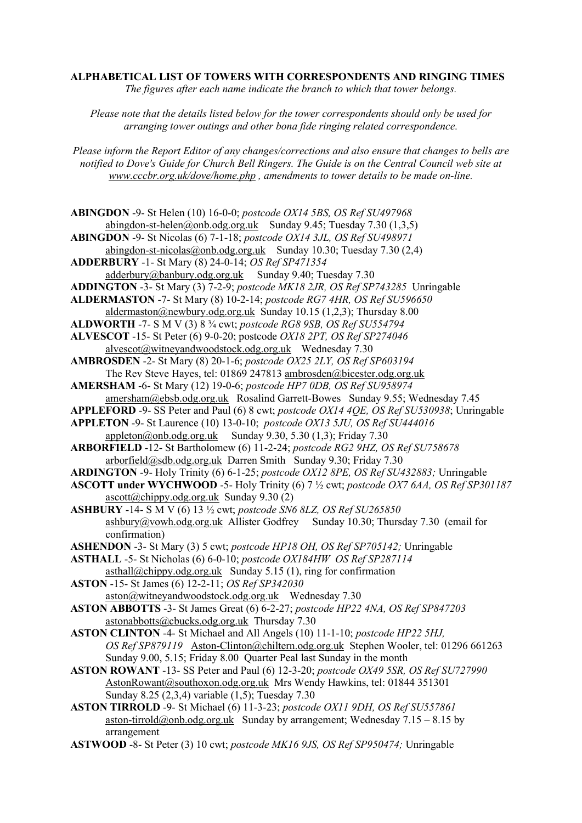**ALPHABETICAL LIST OF TOWERS WITH CORRESPONDENTS AND RINGING TIMES** *The figures after each name indicate the branch to which that tower belongs.*

*Please note that the details listed below for the tower correspondents should only be used for arranging tower outings and other bona fide ringing related correspondence.* 

*Please inform the Report Editor of any changes/corrections and also ensure that changes to bells are notified to Dove's Guide for Church Bell Ringers. The Guide is on the Central Council web site at [www.cccbr.org.uk/dove/home.php](http://www.cccbr.org.uk/dove/home.php) , amendments to tower details to be made on-line.*

**ABINGDON** -9- St Helen (10) 16-0-0; *postcode OX14 5BS, OS Ref SU497968* [abingdon-st-helen@onb.odg.org.uk](mailto:abingdon-st-helen@onb.odg.org.uk) Sunday 9.45; Tuesday 7.30  $(1,3,5)$ **ABINGDON** -9- St Nicolas (6) 7-1-18; *postcode OX14 3JL, OS Ref SU498971* [abingdon-st-nicolas@onb.odg.org.uk](mailto:abingdon-st-nicolas@onb.odg.org.uk) Sunday 10.30; Tuesday 7.30 (2.4) **ADDERBURY** -1- St Mary (8) 24-0-14; *OS Ref SP471354* [adderbury@banbury.odg.org.uk](mailto:adderbury@banbury.odg.org.uk) Sunday 9.40; Tuesday 7.30 **ADDINGTON** -3- St Mary (3) 7-2-9; *postcode MK18 2JR, OS Ref SP743285* Unringable **ALDERMASTON** -7- St Mary (8) 10-2-14; *postcode RG7 4HR, OS Ref SU596650* [aldermaston@newbury.odg.org.uk](mailto:aldermaston@newbury.odg.org.uk) Sunday 10.15 (1,2,3); Thursday 8.00 **ALDWORTH** -7- S M V (3) 8 ¾ cwt; *postcode RG8 9SB, OS Ref SU554794* **ALVESCOT** -15- St Peter (6) 9-0-20; postcode *OX18 2PT, OS Ref SP274046* [alvescot@witneyandwoodstock.odg.org.uk](mailto:alvescot@witneyandwoodstock.odg.org.uk) Wednesday 7.30 **AMBROSDEN** -2- St Mary (8) 20-1-6; *postcode OX25 2LY, OS Ref SP603194* The Rev Steve Hayes, tel: 01869 247813 [ambrosden@bicester.odg.org.uk](mailto:ambrosden@bicester.odg.org.uk) **AMERSHAM** -6- St Mary (12) 19-0-6; *postcode HP7 0DB, OS Ref SU958974* amersham@ebsb.odg.org.uk Rosalind Garrett-Bowes Sunday 9.55; Wednesday 7.45 **APPLEFORD** -9- SS Peter and Paul (6) 8 cwt; *postcode OX14 4QE, OS Ref SU530938*; Unringable **APPLETON** -9- St Laurence (10) 13-0-10; *postcode OX13 5JU, OS Ref SU444016* [appleton@onb.odg.org.uk](mailto:appleton@onb.odg.org.uk) Sunday 9.30, 5.30 (1.3); Friday 7.30 **ARBORFIELD** -12- St Bartholomew (6) 11-2-24; *postcode RG2 9HZ, OS Ref SU758678* [arborfield@sdb.odg.org.uk](mailto:arborfield@sdb.odg.org.uk) Darren Smith Sunday 9.30; Friday 7.30 **ARDINGTON** -9- Holy Trinity (6) 6-1-25; *postcode OX12 8PE, OS Ref SU432883;* Unringable **ASCOTT under WYCHWOOD** -5- Holy Trinity (6) 7 ½ cwt; *postcode OX7 6AA, OS Ref SP301187*  $\text{ascot}(\widehat{\omega}_{\text{chippy.}})$ odg.org.uk Sunday 9.30 (2) **ASHBURY** -14- S M V (6) 13 ½ cwt; *postcode SN6 8LZ, OS Ref SU265850* [ashbury@vowh.odg.org.uk](mailto:ashbury@vowh.odg.org.uk) Allister Godfrey Sunday 10.30; Thursday 7.30 (email for confirmation) **ASHENDON** -3- St Mary (3) 5 cwt; *postcode HP18 OH, OS Ref SP705142;* Unringable **ASTHALL** -5- St Nicholas (6) 6-0-10; *postcode OX184HW OS Ref SP287114*  $asthall@chippy.  $odg. *org.uk*$  Sunday 5.15 (1), ring for confirmation$ **ASTON** -15- St James (6) 12-2-11; *OS Ref SP342030* [aston@witneyandwoodstock.odg.org.uk](mailto:aston@witneyandwoodstock.odg.org.uk) Wednesday 7.30 **ASTON ABBOTTS** -3- St James Great (6) 6-2-27; *postcode HP22 4NA, OS Ref SP847203* [astonabbotts@cbucks.odg.org.uk](mailto:astonabbotts@cbucks.odg.org.uk) Thursday 7.30 **ASTON CLINTON** -4- St Michael and All Angels (10) 11-1-10; *postcode HP22 5HJ, OS Ref SP879119* [Aston-Clinton@chiltern.odg.org.uk](mailto:Aston-Clinton@chiltern.odg.org.uk) Stephen Wooler, tel: 01296 661263 Sunday 9.00, 5.15; Friday 8.00 Quarter Peal last Sunday in the month **ASTON ROWANT** -13- SS Peter and Paul (6) 12-3-20; *postcode OX49 5SR, OS Ref SU727990* [AstonRowant@southoxon.odg.org.uk](mailto:AstonRowant@southoxon.odg.org.uk) Mrs Wendy Hawkins, tel: 01844 351301 Sunday 8.25 (2,3,4) variable (1,5); Tuesday 7.30 **ASTON TIRROLD** -9- St Michael (6) 11-3-23; *postcode OX11 9DH, OS Ref SU557861* [aston-tirrold@onb.odg.org.uk](mailto:aston-tirrold@onb.odg.org.uk) Sunday by arrangement; Wednesday  $7.15 - 8.15$  by arrangement **ASTWOOD** -8- St Peter (3) 10 cwt; *postcode MK16 9JS, OS Ref SP950474;* Unringable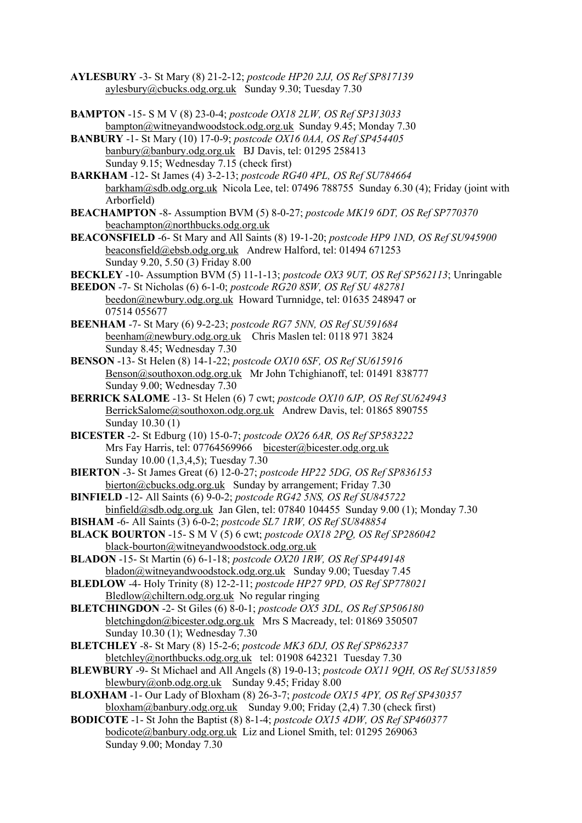- **AYLESBURY** -3- St Mary (8) 21-2-12; *postcode HP20 2JJ, OS Ref SP817139* [aylesbury@cbucks.odg.org.uk](mailto:aylesbury@cbucks.odg.org.uk) Sunday 9.30; Tuesday 7.30
- **BAMPTON** -15- S M V (8) 23-0-4; *postcode OX18 2LW, OS Ref SP313033* [bampton@witneyandwoodstock.odg.org.uk](mailto:bampton@witneyandwoodstock.odg.org.uk) Sunday 9.45; Monday 7.30
- **BANBURY** -1- St Mary (10) 17-0-9; *postcode OX16 0AA, OS Ref SP454405* [banbury@banbury.odg.org.uk](mailto:banbury@banbury.odg.org.uk) BJ Davis, tel: 01295 258413 Sunday 9.15; Wednesday 7.15 (check first)
- **BARKHAM** -12- St James (4) 3-2-13; *postcode RG40 4PL, OS Ref SU784664* [barkham@sdb.odg.org.uk](mailto:barkham@sdb.odg.org.uk) Nicola Lee, tel: 07496 788755 Sunday 6.30 (4); Friday (joint with Arborfield)
- **BEACHAMPTON** -8- Assumption BVM (5) 8-0-27; *postcode MK19 6DT, OS Ref SP770370* [beachampton@northbucks.odg.org.uk](mailto:beachampton@northbucks.odg.org.uk)
- **BEACONSFIELD** -6- St Mary and All Saints (8) 19-1-20; *postcode HP9 1ND, OS Ref SU945900* [beaconsfield@ebsb.odg.org.uk](mailto:beaconsfield@ebsb.odg.org.uk) Andrew Halford, tel: 01494 671253 Sunday 9.20, 5.50 (3) Friday 8.00
- **BECKLEY** -10- Assumption BVM (5) 11-1-13; *postcode OX3 9UT, OS Ref SP562113*; Unringable
- **BEEDON** -7- St Nicholas (6) 6-1-0; *postcode RG20 8SW, OS Ref SU 482781* [beedon@newbury.odg.org.uk](mailto:beedon@newbury.odg.org.uk) Howard Turnnidge, tel: 01635 248947 or 07514 055677
- **BEENHAM** -7- St Mary (6) 9-2-23; *postcode RG7 5NN, OS Ref SU591684* [beenham@newbury.odg.org.uk](mailto:beenham@newbury.odg.org.uk) Chris Maslen tel: 0118 971 3824 Sunday 8.45; Wednesday 7.30
- **BENSON** -13- St Helen (8) 14-1-22; *postcode OX10 6SF, OS Ref SU615916* [Benson@southoxon.odg.org.uk](mailto:Benson@southoxon.odg.org.uk) Mr John Tchighianoff, tel: 01491 838777 Sunday 9.00; Wednesday 7.30
- **BERRICK SALOME** -13- St Helen (6) 7 cwt; *postcode OX10 6JP, OS Ref SU624943* [BerrickSalome@southoxon.odg.org.uk](mailto:BerrickSalome@southoxon.odg.org.uk) Andrew Davis, tel: 01865 890755 Sunday 10.30 (1)
- **BICESTER** -2- St Edburg (10) 15-0-7; *postcode OX26 6AR, OS Ref SP583222* Mrs Fay Harris, tel: 07764569966 [bicester@bicester.odg.org.uk](mailto:bicester@bicester.odg.org.uk) Sunday 10.00 (1,3,4,5); Tuesday 7.30
- **BIERTON** -3- St James Great (6) 12-0-27; *postcode HP22 5DG, OS Ref SP836153* bierton@cbucks.odg.org.uk Sunday by arrangement; Friday 7.30
- **BINFIELD** -12- All Saints (6) 9-0-2; *postcode RG42 5NS, OS Ref SU845722* [binfield@sdb.odg.org.uk](mailto:binfield@sdb.odg.org.uk) Jan Glen, tel: 07840 104455 Sunday 9.00 (1); Monday 7.30
- **BISHAM** -6- All Saints (3) 6-0-2; *postcode SL7 1RW, OS Ref SU848854*
- **BLACK BOURTON** -15- S M V (5) 6 cwt; *postcode OX18 2PQ, OS Ref SP286042* [black-bourton@witneyandwoodstock.odg.org.uk](mailto:black-bourton@witneyandwoodstock.odg.org.uk)
- **BLADON** -15- St Martin (6) 6-1-18; *postcode OX20 1RW, OS Ref SP449148* [bladon@witneyandwoodstock.odg.org.uk](mailto:bladon@witneyandwoodstock.odg.org.uk) Sunday 9.00; Tuesday 7.45
- **BLEDLOW** -4- Holy Trinity (8) 12-2-11; *postcode HP27 9PD, OS Ref SP778021* [Bledlow@chiltern.odg.org.uk](mailto:Bledlow@chiltern.odg.org.uk) No regular ringing
- **BLETCHINGDON** -2- St Giles (6) 8-0-1; *postcode OX5 3DL, OS Ref SP506180* [bletchingdon@bicester.odg.org.uk](mailto:bletchingdon@bicester.odg.org.uk) Mrs S Macready, tel: 01869 350507 Sunday 10.30 (1); Wednesday 7.30
- **BLETCHLEY** -8- St Mary (8) 15-2-6; *postcode MK3 6DJ, OS Ref SP862337* [bletchley@northbucks.odg.org.uk](mailto:bletchley@northbucks.odg.org.uk) tel: 01908 642321 Tuesday 7.30
- **BLEWBURY** -9- St Michael and All Angels (8) 19-0-13; *postcode OX11 9QH, OS Ref SU531859* [blewbury@onb.odg.org.uk](mailto:blewbury@onb.odg.org.uk) Sunday 9.45; Friday 8.00
- **BLOXHAM** -1- Our Lady of Bloxham (8) 26-3-7; *postcode OX15 4PY, OS Ref SP430357* [bloxham@banbury.odg.org.uk](mailto:bloxham@banbury.odg.org.uk) Sunday 9.00; Friday (2,4) 7.30 (check first)
- **BODICOTE** -1- St John the Baptist (8) 8-1-4; *postcode OX15 4DW, OS Ref SP460377* [bodicote@banbury.odg.org.uk](mailto:bodicote@banbury.odg.org.uk) Liz and Lionel Smith, tel: 01295 269063 Sunday 9.00; Monday 7.30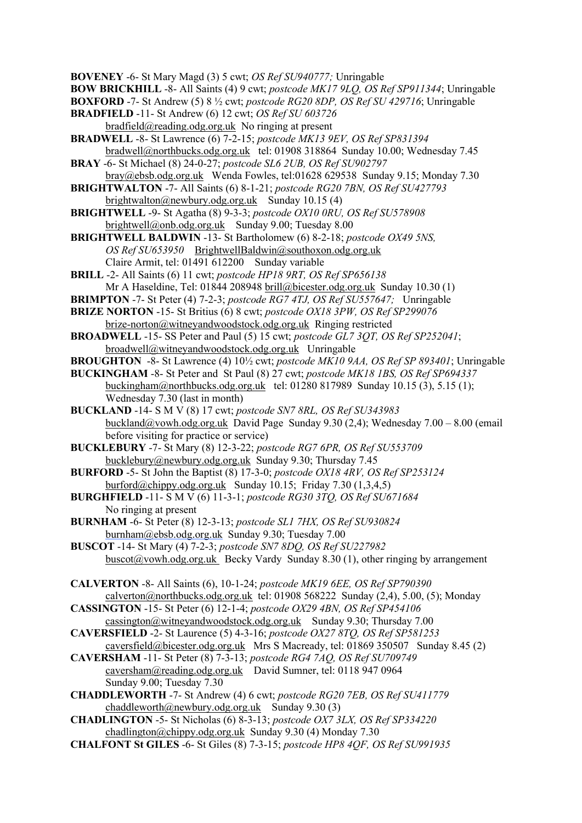**BOVENEY** -6- St Mary Magd (3) 5 cwt; *OS Ref SU940777;* Unringable

**BOW BRICKHILL** -8- All Saints (4) 9 cwt; *postcode MK17 9LQ, OS Ref SP911344*; Unringable

**BOXFORD** -7- St Andrew (5) 8 ½ cwt; *postcode RG20 8DP, OS Ref SU 429716*; Unringable

- **BRADFIELD** -11- St Andrew (6) 12 cwt; *OS Ref SU 603726*
- [bradfield@reading.odg.org.uk](mailto:bradfield@reading.odg.org.uk) No ringing at present **BRADWELL** -8- St Lawrence (6) 7-2-15; *postcode MK13 9EV, OS Ref SP831394* [bradwell@northbucks.odg.org.uk](mailto:bradwell@northbucks.odg.org.uk) tel: 01908 318864 Sunday 10.00; Wednesday 7.45
- **BRAY** -6- St Michael (8) 24-0-27; *postcode SL6 2UB, OS Ref SU902797* [bray@ebsb.odg.org.uk](mailto:bray@ebsb.odg.org.uk) Wenda Fowles, tel:01628 629538 Sunday 9.15; Monday 7.30
- **BRIGHTWALTON** -7- All Saints (6) 8-1-21; *postcode RG20 7BN, OS Ref SU427793* [brightwalton@newbury.odg.org.uk](mailto:brightwalton@newbury.odg.org.uk) Sunday 10.15 (4)
- **BRIGHTWELL** -9- St Agatha (8) 9-3-3; *postcode OX10 0RU, OS Ref SU578908* [brightwell@onb.odg.org.uk](mailto:brightwell@onb.odg.org.uk) Sunday 9.00; Tuesday 8.00
- **BRIGHTWELL BALDWIN** -13- St Bartholomew (6) 8-2-18; *postcode OX49 5NS, OS Ref SU653950* [BrightwellBaldwin@southoxon.odg.org.uk](mailto:BrightwellBaldwin@southoxon.odg.org.uk)  Claire Armit, tel: 01491 612200 Sunday variable
- **BRILL** -2- All Saints (6) 11 cwt; *postcode HP18 9RT, OS Ref SP656138* Mr A Haseldine, Tel: 01844 208948 brill@bicester.odg.org.uk Sunday 10.30 (1)
- **BRIMPTON** -7- St Peter (4) 7-2-3; *postcode RG7 4TJ, OS Ref SU557647;* Unringable
- **BRIZE NORTON** -15- St Britius (6) 8 cwt; *postcode OX18 3PW, OS Ref SP299076* [brize-norton@witneyandwoodstock.odg.org.uk](mailto:brize-norton@witneyandwoodstock.odg.org.uk) Ringing restricted
- **BROADWELL** -15- SS Peter and Paul (5) 15 cwt; *postcode GL7 3QT, OS Ref SP252041*; [broadwell@witneyandwoodstock.odg.org.uk](mailto:broadwell@witneyandwoodstock.odg.org.uk) Unringable
- **BROUGHTON** -8- St Lawrence (4) 10½ cwt; *postcode MK10 9AA, OS Ref SP 893401*; Unringable

**BUCKINGHAM** -8- St Peter and St Paul (8) 27 cwt; *postcode MK18 1BS, OS Ref SP694337* [buckingham@northbucks.odg.org.uk](mailto:buckingham@northbucks.odg.org.uk) tel: 01280 817989 Sunday 10.15 (3), 5.15 (1); Wednesday 7.30 (last in month)

- **BUCKLAND** -14- S M V (8) 17 cwt; *postcode SN7 8RL, OS Ref SU343983* [buckland@vowh.odg.org.uk](mailto:buckland@vowh.odg.org.uk) David Page Sunday 9.30 (2.4); Wednesday  $7.00 - 8.00$  (email before visiting for practice or service)
- **BUCKLEBURY** -7- St Mary (8) 12-3-22; *postcode RG7 6PR, OS Ref SU553709* [bucklebury@newbury.odg.org.uk](mailto:bucklebury@newbury.odg.org.uk) Sunday 9.30; Thursday 7.45
- **BURFORD** -5- St John the Baptist (8) 17-3-0; *postcode OX18 4RV, OS Ref SP253124* [burford@chippy.odg.org.uk](mailto:burford@chippy.odg.org.uk) Sunday 10.15; Friday 7.30  $(1,3,4,5)$
- **BURGHFIELD** -11- S M V (6) 11-3-1; *postcode RG30 3TQ, OS Ref SU671684* No ringing at present
- **BURNHAM** -6- St Peter (8) 12-3-13; *postcode SL1 7HX, OS Ref SU930824* burnham@ebsb.odg.org.uk Sunday 9.30; Tuesday 7.00
- **BUSCOT** -14- St Mary (4) 7-2-3; *postcode SN7 8DQ, OS Ref SU227982*  $buscot@vowh.$ odg.org.uk Becky Vardy Sunday 8.30 (1), other ringing by arrangement
- **CALVERTON** -8- All Saints (6), 10-1-24; *postcode MK19 6EE, OS Ref SP790390* [calverton@northbucks.odg.org.uk](mailto:calverton@northbucks.odg.org.uk) tel: 01908 568222 Sunday (2,4), 5.00, (5); Monday
- **CASSINGTON** -15- St Peter (6) 12-1-4; *postcode OX29 4BN, OS Ref SP454106*
- [cassington@witneyandwoodstock.odg.org.uk](mailto:cassington@witneyandwoodstock.odg.org.uk) Sunday 9.30; Thursday 7.00 **CAVERSFIELD** -2- St Laurence (5) 4-3-16; *postcode OX27 8TQ, OS Ref SP581253*
- caversfield@bicester.odg.org.uk Mrs S Macready, tel: 01869 350507 Sunday 8.45 (2)
- **CAVERSHAM** -11- St Peter (8) 7-3-13; *postcode RG4 7AQ, OS Ref SU709749* [caversham@reading.odg.org.uk](mailto:caversham@reading.odg.org.uk) David Sumner, tel: 0118 947 0964 Sunday 9.00; Tuesday 7.30
- **CHADDLEWORTH** -7- St Andrew (4) 6 cwt; *postcode RG20 7EB, OS Ref SU411779* [chaddleworth@newbury.odg.org.uk](mailto:chaddleworth@newbury.odg.org.uk) Sunday 9.30 (3)
- **CHADLINGTON** -5- St Nicholas (6) 8-3-13; *postcode OX7 3LX, OS Ref SP334220* [chadlington@chippy.odg.org.uk](mailto:chadlington@chippy.odg.org.uk) Sunday 9.30 (4) Monday 7.30
- **CHALFONT St GILES** -6- St Giles (8) 7-3-15; *postcode HP8 4QF, OS Ref SU991935*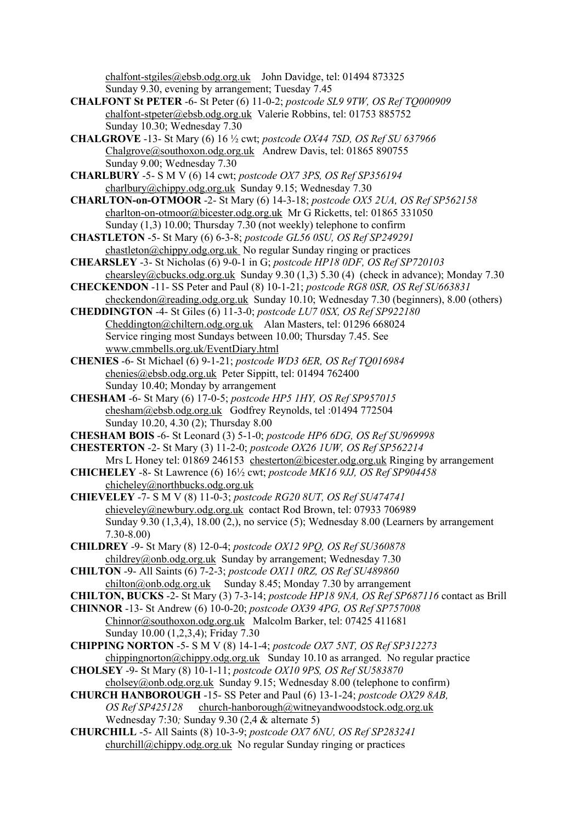[chalfont-stgiles@ebsb.odg.org.uk](mailto:chalfont-stgiles@ebsb.odg.org.uk) John Davidge, tel: 01494 873325 Sunday 9.30, evening by arrangement; Tuesday 7.45

- **CHALFONT St PETER** -6- St Peter (6) 11-0-2; *postcode SL9 9TW, OS Ref TQ000909* [chalfont-stpeter@ebsb.odg.org.uk](mailto:chalfont-stpeter@ebsb.odg.org.uk) Valerie Robbins, tel: 01753 885752 Sunday 10.30; Wednesday 7.30
- **CHALGROVE** -13- St Mary (6) 16 ½ cwt; *postcode OX44 7SD, OS Ref SU 637966* [Chalgrove@southoxon.odg.org.uk](mailto:Chalgrove@southoxon.odg.org.uk) Andrew Davis, tel: 01865 890755 Sunday 9.00; Wednesday 7.30
- **CHARLBURY** -5- S M V (6) 14 cwt; *postcode OX7 3PS, OS Ref SP356194* [charlbury@chippy.odg.org.uk](mailto:charlbury@chippy.odg.org.uk) Sunday 9.15; Wednesday 7.30
- **CHARLTON-on-OTMOOR** -2- St Mary (6) 14-3-18; *postcode OX5 2UA, OS Ref SP562158* [charlton-on-otmoor@bicester.odg.org.uk](mailto:charlton-on-otmoor@bicester.odg.org.uk) Mr G Ricketts, tel: 01865 331050 Sunday (1,3) 10.00; Thursday 7.30 (not weekly) telephone to confirm
- **CHASTLETON** -5- St Mary (6) 6-3-8; *postcode GL56 0SU, OS Ref SP249291* [chastleton@chippy.odg.org.uk](mailto:chastleton@chippy.odg.org.uk) No regular Sunday ringing or practices
- **CHEARSLEY** -3- St Nicholas (6) 9-0-1 in G; *postcode HP18 0DF, OS Ref SP720103* [chearsley@cbucks.odg.org.uk](mailto:chearsley@cbucks.odg.org.uk) Sunday 9.30 (1,3) 5.30 (4) (check in advance); Monday 7.30
- **CHECKENDON** -11- SS Peter and Paul (8) 10-1-21; *postcode RG8 0SR, OS Ref SU663831* [checkendon@reading.odg.org.uk](https://mail2.odg.org.uk:2083/cpsess3220075303/3rdparty/mailman/options/alltowers_reading.odg.org.uk/checkendon--at--reading.odg.org.uk) Sunday 10.10; Wednesday 7.30 (beginners), 8.00 (others)
- **CHEDDINGTON** -4- St Giles (6) 11-3-0; *postcode LU7 0SX, OS Ref SP922180* [Cheddington@chiltern.odg.org.uk](mailto:Cheddington@chiltern.odg.org.uk) Alan Masters, tel: 01296 668024 Service ringing most Sundays between 10.00; Thursday 7.45. See [www.cmmbells.org.uk/EventDiary.html](http://www.cmmbells.org.uk/EventDiary.html)
- **CHENIES** -6- St Michael (6) 9-1-21; *postcode WD3 6ER, OS Ref TQ016984* [chenies@ebsb.odg.org.uk](mailto:chenies@ebsb.odg.org.uk) Peter Sippitt, tel: 01494 762400 Sunday 10.40; Monday by arrangement
- **CHESHAM** -6- St Mary (6) 17-0-5; *postcode HP5 1HY, OS Ref SP957015* [chesham@ebsb.odg.org.uk](mailto:chesham@ebsb.odg.org.uk) Godfrey Reynolds, tel :01494 772504 Sunday 10.20, 4.30 (2); Thursday 8.00
- **CHESHAM BOIS** -6- St Leonard (3) 5-1-0; *postcode HP6 6DG, OS Ref SU969998*
- **CHESTERTON** -2- St Mary (3) 11-2-0; *postcode OX26 1UW, OS Ref SP562214* Mrs L Honey tel: 01869 246153 chesterton@bicester.odg.org.uk Ringing by arrangement
- **CHICHELEY** -8- St Lawrence (6) 16½ cwt; *postcode MK16 9JJ, OS Ref SP904458* [chicheley@northbucks.odg.org.uk](mailto:chicheley@northbucks.odg.org.uk)
- **CHIEVELEY** -7- S M V (8) 11-0-3; *postcode RG20 8UT, OS Ref SU474741* [chieveley@newbury.odg.org.uk](mailto:chieveley@newbury.odg.org.uk) contact Rod Brown, tel: 07933 706989 Sunday 9.30 (1,3,4), 18.00 (2,), no service (5); Wednesday 8.00 (Learners by arrangement 7.30-8.00)
- **CHILDREY** -9- St Mary (8) 12-0-4; *postcode OX12 9PQ, OS Ref SU360878* [childrey@onb.odg.org.uk](mailto:childrey@onb.odg.org.uk) Sunday by arrangement; Wednesday 7.30
- **CHILTON** -9- All Saints (6) 7-2-3; *postcode OX11 0RZ, OS Ref SU489860* [chilton@onb.odg.org.uk](mailto:chilton@onb.odg.org.uk) Sunday 8.45; Monday 7.30 by arrangement
- **CHILTON, BUCKS** -2- St Mary (3) 7-3-14; *postcode HP18 9NA, OS Ref SP687116* contact as Brill
- **CHINNOR** -13- St Andrew (6) 10-0-20; *postcode OX39 4PG, OS Ref SP757008* [Chinnor@southoxon.odg.org.uk](mailto:Chinnor@southoxon.odg.org.uk) Malcolm Barker, tel: 07425 411681 Sunday 10.00 (1,2,3,4); Friday 7.30
- **CHIPPING NORTON** -5- S M V (8) 14-1-4; *postcode OX7 5NT, OS Ref SP312273* chippingnorton@chippy.odg.org.uk Sunday 10.10 as arranged. No regular practice
- **CHOLSEY** -9- St Mary (8) 10-1-11; *postcode OX10 9PS, OS Ref SU583870* [cholsey@onb.odg.org.uk](mailto:cholsey@onb.odg.org.uk) Sunday 9.15; Wednesday 8.00 (telephone to confirm)
- **CHURCH HANBOROUGH** -15- SS Peter and Paul (6) 13-1-24; *postcode OX29 8AB, OS Ref SP425128* [church-hanborough@witneyandwoodstock.odg.org.uk](mailto:church-hanborough@witneyandwoodstock.odg.org.uk) Wednesday 7:30*;* Sunday 9.30 (2,4 & alternate 5)
- **CHURCHILL** -5- All Saints (8) 10-3-9; *postcode OX7 6NU, OS Ref SP283241* [churchill@chippy.odg.org.uk](mailto:churchill@chippy.odg.org.uk) No regular Sunday ringing or practices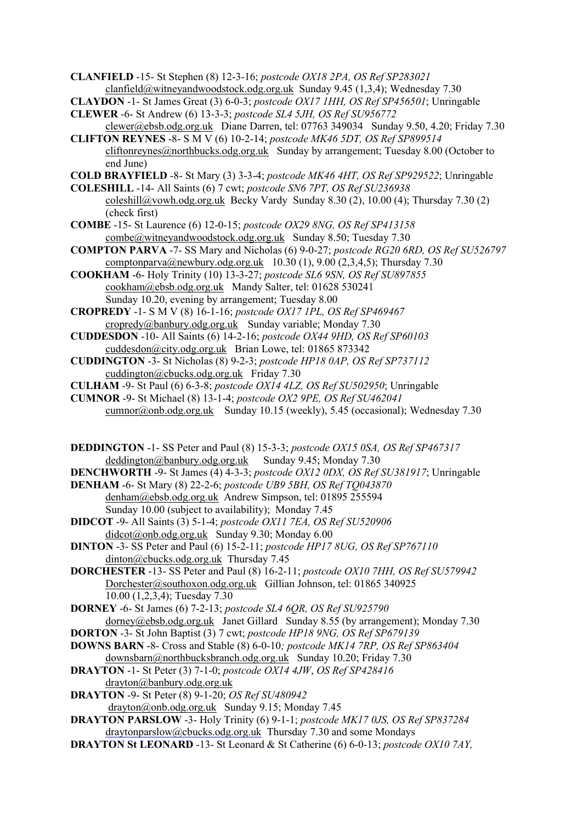**CLANFIELD** -15- St Stephen (8) 12-3-16; *postcode OX18 2PA, OS Ref SP283021* [clanfield@witneyandwoodstock.odg.org.uk](mailto:clanfield@witneyandwoodstock.odg.org.uk) Sunday 9.45 (1,3,4); Wednesday 7.30

**CLAYDON** -1- St James Great (3) 6-0-3; *postcode OX17 1HH, OS Ref SP456501*; Unringable

- **CLEWER** -6- St Andrew (6) 13-3-3; *postcode SL4 5JH, OS Ref SU956772*
- [clewer@ebsb.odg.org.uk](mailto:clewer@ebsb.odg.org.uk) Diane Darren, tel: 07763 349034 Sunday 9.50, 4.20; Friday 7.30 **CLIFTON REYNES** -8- S M V (6) 10-2-14; *postcode MK46 5DT, OS Ref SP899514*
- [cliftonreynes@northbucks.odg.org.uk](mailto:cliftonreynes@northbucks.odg.org.uk) Sunday by arrangement; Tuesday 8.00 (October to end June)

**COLD BRAYFIELD** -8- St Mary (3) 3-3-4; *postcode MK46 4HT, OS Ref SP929522*; Unringable

**COLESHILL** -14- All Saints (6) 7 cwt; *postcode SN6 7PT, OS Ref SU236938* [coleshill@vowh.odg.org.uk](mailto:coleshill@vowh.odg.org.uk) Becky Vardy Sunday 8.30 (2), 10.00 (4); Thursday 7.30 (2) (check first)

- **COMBE** -15- St Laurence (6) 12-0-15; *postcode OX29 8NG, OS Ref SP413158* [combe@witneyandwoodstock.odg.org.uk](mailto:combe@witneyandwoodstock.odg.org.uk) Sunday 8.50; Tuesday 7.30
- **COMPTON PARVA** -7- SS Mary and Nicholas (6) 9-0-27; *postcode RG20 6RD, OS Ref SU526797* [comptonparva@newbury.odg.org.uk](mailto:comptonparva@newbury.odg.org.uk) 10.30 (1), 9.00 (2,3,4,5); Thursday 7.30
- **COOKHAM** -6- Holy Trinity (10) 13-3-27; *postcode SL6 9SN, OS Ref SU897855* [cookham@ebsb.odg.org.uk](mailto:cookham@ebsb.odg.org.uk) Mandy Salter, tel: 01628 530241 Sunday 10.20, evening by arrangement; Tuesday 8.00
- **CROPREDY** -1- S M V (8) 16-1-16; *postcode OX17 1PL, OS Ref SP469467* [cropredy@banbury.odg.org.uk](mailto:cropredy@banbury.odg.org.uk) Sunday variable; Monday 7.30
- **CUDDESDON** -10- All Saints (6) 14-2-16; *postcode OX44 9HD, OS Ref SP60103* [cuddesdon@city.odg.org.uk](mailto:cuddesdon@city.odg.org.uk) Brian Lowe, tel: 01865 873342
- **CUDDINGTON** -3- St Nicholas (8) 9-2-3; *postcode HP18 0AP, OS Ref SP737112* cuddington@cbucks.odg.org.uk Friday 7.30
- **CULHAM** -9- St Paul (6) 6-3-8; *postcode OX14 4LZ, OS Ref SU502950*; Unringable
- **CUMNOR** -9- St Michael (8) 13-1-4; *postcode OX2 9PE, OS Ref SU462041* [cumnor@onb.odg.org.uk](mailto:cumnor@onb.odg.org.uk) Sunday 10.15 (weekly), 5.45 (occasional); Wednesday 7.30
- **DEDDINGTON** -1- SS Peter and Paul (8) 15-3-3; *postcode OX15 0SA, OS Ref SP467317* [deddington@banbury.odg.org.uk](mailto:deddington@banbury.odg.org.uk) Sunday 9.45; Monday 7.30

**DENCHWORTH** -9- St James (4) 4-3-3; *postcode OX12 0DX, OS Ref SU381917*; Unringable

- **DENHAM** -6- St Mary (8) 22-2-6; *postcode UB9 5BH, OS Ref TQ043870* [denham@ebsb.odg.org.uk](mailto:denham@ebsb.odg.org.uk) Andrew Simpson, tel: 01895 255594 Sunday 10.00 (subject to availability); Monday 7.45
- **DIDCOT** -9- All Saints (3) 5-1-4; *postcode OX11 7EA, OS Ref SU520906* [didcot@onb.odg.org.uk](mailto:didcot@onb.odg.org.uk) Sunday 9.30; Monday 6.00
- **DINTON** -3- SS Peter and Paul (6) 15-2-11; *postcode HP17 8UG, OS Ref SP767110* [dinton@cbucks.odg.org.uk](mailto:dinton@cbucks.odg.org.uk) Thursday 7.45
- **DORCHESTER** -13- SS Peter and Paul (8) 16-2-11; *postcode OX10 7HH, OS Ref SU579942* [Dorchester@southoxon.odg.org.uk](mailto:Dorchester@southoxon.odg.org.uk) Gillian Johnson, tel: 01865 340925 10.00 (1,2,3,4); Tuesday 7.30

**DORNEY** -6- St James (6) 7-2-13; *postcode SL4 6QR, OS Ref SU925790* [dorney@ebsb.odg.org.uk](mailto:dorney@ebsb.odg.org.uk) Janet Gillard Sunday 8.55 (by arrangement); Monday 7.30

- **DORTON** -3- St John Baptist (3) 7 cwt; *postcode HP18 9NG, OS Ref SP679139*
- **DOWNS BARN** -8- Cross and Stable (8) 6-0-10*; postcode MK14 7RP, OS Ref SP863404* [downsbarn@northbucksbranch.odg.org.uk](mailto:downsbarn@northbucksbranch.odg.org.uk) Sunday 10.20; Friday 7.30
- **DRAYTON** -1- St Peter (3) 7-1-0; *postcode OX14 4JW*, *OS Ref SP428416* [drayton@banbury.odg.org.uk](mailto:drayton@banbury.odg.org.uk)
- **DRAYTON** -9- St Peter (8) 9-1-20; *OS Ref SU480942* [drayton@onb.odg.org.uk](mailto:drayton@onb.odg.org.uk) Sunday 9.15; Monday 7.45
- **DRAYTON PARSLOW** -3- Holy Trinity (6) 9-1-1; *postcode MK17 0JS, OS Ref SP837284* [draytonparslow@cbucks.odg.org.uk](mailto:draytonparslow@cbucks.odg.org.uk) Thursday 7.30 and some Mondays
- **DRAYTON St LEONARD** -13- St Leonard & St Catherine (6) 6-0-13; *postcode OX10 7AY,*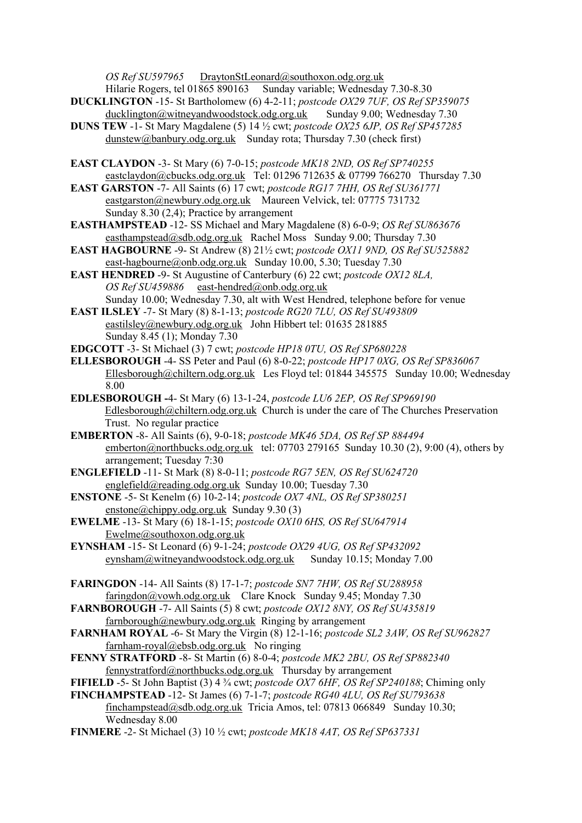*OS Ref SU597965* DraytonStLeonard@southoxon.odg.org.uk<br>Hilarie Rogers, tel 01865 890163 Sunday variable; Wednesday

- Sunday variable; Wednesday 7.30-8.30 **DUCKLINGTON** -15- St Bartholomew (6) 4-2-11; *postcode OX29 7UF, OS Ref SP359075* [ducklington@witneyandwoodstock.odg.org.uk](mailto:ducklington@witneyandwoodstock.odg.org.uk) Sunday 9.00; Wednesday 7.30
- **DUNS TEW** -1- St Mary Magdalene (5) 14 ½ cwt; *postcode OX25 6JP, OS Ref SP457285* [dunstew@banbury.odg.org.uk](mailto:dunstew@banbury.odg.org.uk) Sunday rota; Thursday 7.30 (check first)
- **EAST CLAYDON** -3- St Mary (6) 7-0-15; *postcode MK18 2ND, OS Ref SP740255* eastclaydon@cbucks.odg.org.uk Tel: 01296 712635 & 07799 766270 Thursday 7.30
- **EAST GARSTON** -7- All Saints (6) 17 cwt; *postcode RG17 7HH, OS Ref SU361771* [eastgarston@newbury.odg.org.uk](mailto:eastgarston@newbury.odg.org.uk) Maureen Velvick, tel: 07775 731732 Sunday 8.30 (2,4); Practice by arrangement
- **EASTHAMPSTEAD** -12- SS Michael and Mary Magdalene (8) 6-0-9; *OS Ref SU863676* [easthampstead@sdb.odg.org.uk](mailto:easthampstead@sdb.odg.org.uk) Rachel Moss Sunday 9.00; Thursday 7.30
- **EAST HAGBOURNE** -9- St Andrew (8) 21½ cwt; *postcode OX11 9ND, OS Ref SU525882* [east-hagbourne@onb.odg.org.uk](mailto:east-hagbourne@onb.odg.org.uk) Sunday 10.00, 5.30; Tuesday 7.30
- **EAST HENDRED** -9- St Augustine of Canterbury (6) 22 cwt; *postcode OX12 8LA, OS Ref SU459886* [east-hendred@onb.odg.org.uk](mailto:east-hendred@onb.odg.org.uk)  Sunday 10.00; Wednesday 7.30, alt with West Hendred, telephone before for venue
- **EAST ILSLEY** -7- St Mary (8) 8-1-13; *postcode RG20 7LU, OS Ref SU493809* [eastilsley@newbury.odg.org.uk](mailto:eastilsley@newbury.odg.org.uk) John Hibbert tel: 01635 281885 Sunday 8.45 (1); Monday 7.30
- **EDGCOTT** -3- St Michael (3) 7 cwt; *postcode HP18 0TU, OS Ref SP680228*
- **ELLESBOROUGH** -4- SS Peter and Paul (6) 8-0-22; *postcode HP17 0XG, OS Ref SP836067* [Ellesborough@chiltern.odg.org.uk](mailto:Ellesborough@chiltern.odg.org.uk) Les Floyd tel: 01844 345575 Sunday 10.00; Wednesday 8.00
- **EDLESBOROUGH -**4- St Mary (6) 13-1-24, *postcode LU6 2EP, OS Ref SP969190* [Edlesborough@chiltern.odg.org.uk](mailto:Edlesborough@chiltern.odg.org.uk) Church is under the care of The Churches Preservation Trust.No regular practice
- **EMBERTON** -8- All Saints (6), 9-0-18; *postcode MK46 5DA, OS Ref SP 884494* [emberton@northbucks.odg.org.uk](mailto:emberton@northbucks.odg.org.uk) tel: 07703 279165 Sunday 10.30 (2), 9:00 (4), others by arrangement; Tuesday 7:30
- **ENGLEFIELD** -11- St Mark (8) 8-0-11; *postcode RG7 5EN, OS Ref SU624720* [englefield@reading.odg.org.uk](https://mail2.odg.org.uk:2083/cpsess3220075303/3rdparty/mailman/options/alltowers_reading.odg.org.uk/englefield--at--reading.odg.org.uk) Sunday 10.00; Tuesday 7.30
- **ENSTONE** -5- St Kenelm (6) 10-2-14; *postcode OX7 4NL, OS Ref SP380251* [enstone@chippy.odg.org.uk](mailto:enstone@chippy.odg.org.uk) Sunday 9.30 (3)
- **EWELME** -13- St Mary (6) 18-1-15; *postcode OX10 6HS, OS Ref SU647914* [Ewelme@southoxon.odg.org.uk](mailto:Ewelme@southoxon.odg.org.uk)
- **EYNSHAM** -15- St Leonard (6) 9-1-24; *postcode OX29 4UG, OS Ref SP432092* [eynsham@witneyandwoodstock.odg.org.uk](mailto:eynsham@witneyandwoodstock.odg.org.uk) Sunday 10.15; Monday 7.00
- **FARINGDON** -14- All Saints (8) 17-1-7; *postcode SN7 7HW, OS Ref SU288958* [faringdon@vowh.odg.org.uk](mailto:faringdon@vowh.odg.org.uk) Clare Knock Sunday 9.45; Monday 7.30
- **FARNBOROUGH** -7- All Saints (5) 8 cwt; *postcode OX12 8NY, OS Ref SU435819* [farnborough@newbury.odg.org.uk](mailto:farnborough@newbury.odg.org.uk) Ringing by arrangement
- **FARNHAM ROYAL** -6- St Mary the Virgin (8) 12-1-16; *postcode SL2 3AW, OS Ref SU962827* [farnham-royal@ebsb.odg.org.uk](mailto:farnham-royal@ebsb.odg.org.uk) No ringing
- **FENNY STRATFORD** -8- St Martin (6) 8-0-4; *postcode MK2 2BU, OS Ref SP882340* [fennystratford@northbucks.odg.org.uk](mailto:fennystratford@northbucks.odg.org.uk) Thursday by arrangement
- **FIFIELD** -5- St John Baptist (3) 4 ¾ cwt; *postcode OX7 6HF, OS Ref SP240188*; Chiming only
- **FINCHAMPSTEAD** -12- St James (6) 7-1-7; *postcode RG40 4LU, OS Ref SU793638* [finchampstead@sdb.odg.org.uk](mailto:finchampstead@sdb.odg.org.uk) Tricia Amos, tel: 07813 066849 Sunday 10.30; Wednesday 8.00
- **FINMERE** -2- St Michael (3) 10 ½ cwt; *postcode MK18 4AT, OS Ref SP637331*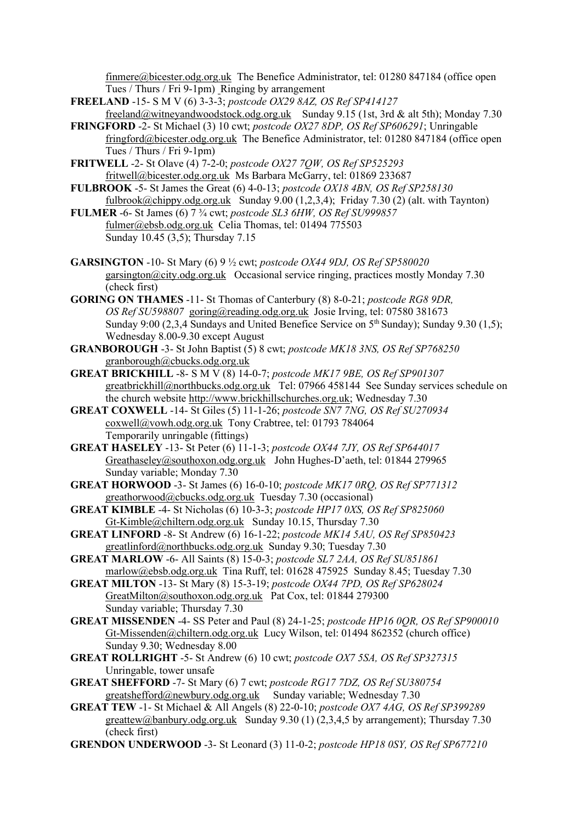finmere@bicester.odg.org.uk The Benefice Administrator, tel: 01280 847184 (office open Tues / Thurs / Fri 9-1pm) Ringing by arrangement

- **FREELAND** -15- S M V (6) 3-3-3; *postcode OX29 8AZ, OS Ref SP414127* [freeland@witneyandwoodstock.odg.org.uk](mailto:freeland@witneyandwoodstock.odg.org.uk) Sunday 9.15 (1st, 3rd & alt 5th); Monday 7.30
- **FRINGFORD** -2- St Michael (3) 10 cwt; *postcode OX27 8DP, OS Ref SP606291*; Unringable [fringford@bicester.odg.org.uk](mailto:fringford@bicester.odg.org.uk) The Benefice Administrator, tel: 01280 847184 (office open Tues / Thurs / Fri 9-1pm)
- **FRITWELL** -2- St Olave (4) 7-2-0; *postcode OX27 7QW, OS Ref SP525293* fritwell@bicester.odg.org.uk Ms Barbara McGarry, tel: 01869 233687
- **FULBROOK** -5- St James the Great (6) 4-0-13; *postcode OX18 4BN, OS Ref SP258130* [fulbrook@chippy.odg.org.uk](mailto:fulbrook@chippy.odg.org.uk) Sunday 9.00 (1,2,3,4); Friday 7.30 (2) (alt. with Taynton)
- **FULMER** -6- St James (6) 7 ¾ cwt; *postcode SL3 6HW, OS Ref SU999857* [fulmer@ebsb.odg.org.uk](mailto:fulmer@ebsb.odg.org.uk) Celia Thomas, tel: 01494 775503 Sunday 10.45 (3,5); Thursday 7.15
- **GARSINGTON** -10- St Mary (6) 9 ½ cwt; *postcode OX44 9DJ, OS Ref SP580020* [garsington@city.odg.org.uk](mailto:garsington@city.odg.org.uk) Occasional service ringing, practices mostly Monday 7.30 (check first)
- **GORING ON THAMES** -11- St Thomas of Canterbury (8) 8-0-21; *postcode RG8 9DR, OS Ref SU598807* [goring@reading.odg.org.uk](mailto:goring@reading.odg.org.uk) Josie Irving, tel: 07580 381673 Sunday 9:00 (2,3,4 Sundays and United Benefice Service on 5<sup>th</sup> Sunday); Sunday 9.30 (1,5); Wednesday 8.00-9.30 except August
- **GRANBOROUGH** -3- St John Baptist (5) 8 cwt; *postcode MK18 3NS, OS Ref SP768250* [granborough@cbucks.odg.org.uk](mailto:granborough@cbucks.odg.org.uk)
- **GREAT BRICKHILL** -8- S M V (8) 14-0-7; *postcode MK17 9BE, OS Ref SP901307* [greatbrickhill@northbucks.odg.org.uk](mailto:greatbrickhill@northbucks.odg.org.uk) Tel: 07966 458144 See Sunday services schedule on the church website [http://www.brickhillschurches.org.uk;](http://www.brickhillschurches.org.uk/) Wednesday 7.30
- **GREAT COXWELL** -14- St Giles (5) 11-1-26; *postcode SN7 7NG, OS Ref SU270934* [coxwell@vowh.odg.org.uk](mailto:coxwell@vowh.odg.org.uk) Tony Crabtree, tel: 01793 784064 Temporarily unringable (fittings)
- **GREAT HASELEY** -13- St Peter (6) 11-1-3; *postcode OX44 7JY, OS Ref SP644017* [Greathaseley@southoxon.odg.org.uk](mailto:Greathaseley@southoxon.odg.org.uk) John Hughes-D'aeth, tel: 01844 279965 Sunday variable; Monday 7.30
- **GREAT HORWOOD** -3- St James (6) 16-0-10; *postcode MK17 0RQ, OS Ref SP771312* [greathorwood@cbucks.odg.org.uk](mailto:greathorwood@cbucks.odg.org.uk) Tuesday 7.30 (occasional)
- **GREAT KIMBLE** -4- St Nicholas (6) 10-3-3; *postcode HP17 0XS, OS Ref SP825060* [Gt-Kimble@chiltern.odg.org.uk](mailto:Gt-Kimble@chiltern.odg.org.uk) Sunday 10.15, Thursday 7.30
- **GREAT LINFORD** -8- St Andrew (6) 16-1-22; *postcode MK14 5AU, OS Ref SP850423* [greatlinford@northbucks.odg.org.uk](mailto:greatlinford@northbucks.odg.org.uk) Sunday 9.30; Tuesday 7.30
- **GREAT MARLOW** -6- All Saints (8) 15-0-3; *postcode SL7 2AA, OS Ref SU851861* [marlow@ebsb.odg.org.uk](mailto:marlow@ebsb.odg.org.uk) Tina Ruff, tel: 01628 475925 Sunday 8.45; Tuesday 7.30
- **GREAT MILTON** -13- St Mary (8) 15-3-19; *postcode OX44 7PD, OS Ref SP628024* [GreatMilton@southoxon.odg.org.uk](mailto:GreatMilton@southoxon.odg.org.uk) Pat Cox, tel: 01844 279300 Sunday variable; Thursday 7.30
- **GREAT MISSENDEN** -4- SS Peter and Paul (8) 24-1-25; *postcode HP16 0QR, OS Ref SP900010* [Gt-Missenden@chiltern.odg.org.uk](mailto:Gt-Missenden@chiltern.odg.org.uk) Lucy Wilson, tel: 01494 862352 (church office) Sunday 9.30; Wednesday 8.00
- **GREAT ROLLRIGHT** -5- St Andrew (6) 10 cwt; *postcode OX7 5SA, OS Ref SP327315* Unringable, tower unsafe
- **GREAT SHEFFORD** -7- St Mary (6) 7 cwt; *postcode RG17 7DZ, OS Ref SU380754* [greatshefford@newbury.odg.org.uk](mailto:greatshefford@newbury.odg.org.uk) Sunday variable; Wednesday 7.30
- **GREAT TEW** -1- St Michael & All Angels (8) 22-0-10; *postcode OX7 4AG, OS Ref SP399289* [greattew@banbury.odg.org.uk](mailto:greattew@banbury.odg.org.uk) Sunday 9.30 (1) (2,3,4,5 by arrangement); Thursday 7.30 (check first)
- **GRENDON UNDERWOOD** -3- St Leonard (3) 11-0-2; *postcode HP18 0SY, OS Ref SP677210*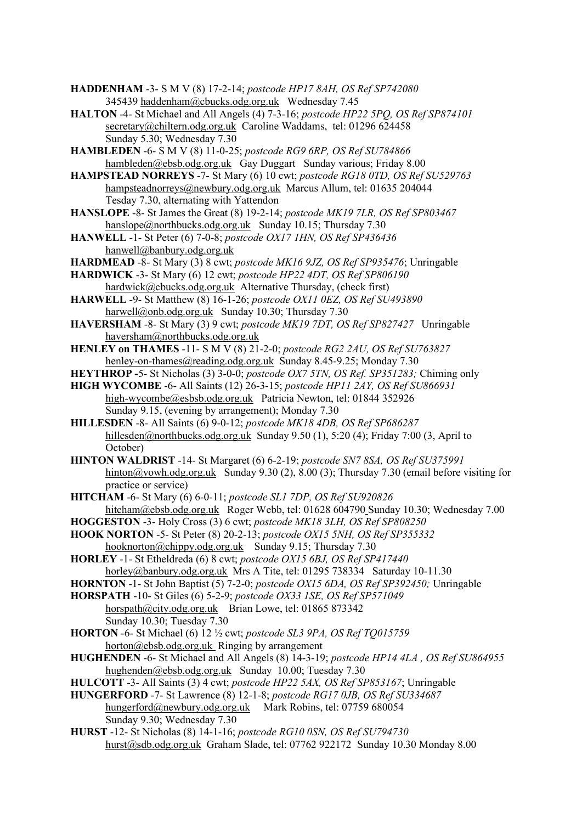- **HADDENHAM** -3- S M V (8) 17-2-14; *postcode HP17 8AH, OS Ref SP742080* 345439 haddenham@cbucks.odg.org.uk Wednesday 7.45
- **HALTON** -4- St Michael and All Angels (4) 7-3-16; *postcode HP22 5PQ, OS Ref SP874101* [secretary@chiltern.odg.org.uk](mailto:secretary@chiltern.odg.org.uk) Caroline Waddams, [tel: 01296](tel:01296) 624458 Sunday 5.30; Wednesday 7.30
- **HAMBLEDEN** -6- S M V (8) 11-0-25; *postcode RG9 6RP, OS Ref SU784866* hambleden@ebsb.odg.org.uk Gay Duggart Sunday various; Friday 8.00
- **HAMPSTEAD NORREYS** -7- St Mary (6) 10 cwt; *postcode RG18 0TD, OS Ref SU529763* [hampsteadnorreys@newbury.odg.org.uk](mailto:hampsteadnorreys@newbury.odg.org.uk) Marcus Allum, tel: 01635 204044 Tesday 7.30, alternating with Yattendon
- **HANSLOPE** -8- St James the Great (8) 19-2-14; *postcode MK19 7LR, OS Ref SP803467* [hanslope@northbucks.odg.org.uk](mailto:hanslope@northbucks.odg.org.uk) Sunday 10.15; Thursday 7.30
- **HANWELL** -1- St Peter (6) 7-0-8; *postcode OX17 1HN, OS Ref SP436436* [hanwell@banbury.odg.org.uk](mailto:hanwell@banbury.odg.org.uk)
- **HARDMEAD** -8- St Mary (3) 8 cwt; *postcode MK16 9JZ, OS Ref SP935476*; Unringable
- **HARDWICK** -3- St Mary (6) 12 cwt; *postcode HP22 4DT, OS Ref SP806190* [hardwick@cbucks.odg.org.uk](mailto:hardwick@cbucks.odg.org.uk) Alternative Thursday, (check first)
- **HARWELL** -9- St Matthew (8) 16-1-26; *postcode OX11 0EZ, OS Ref SU493890* [harwell@onb.odg.org.uk](mailto:harwell@onb.odg.org.uk) Sunday 10.30; Thursday 7.30
- **HAVERSHAM** -8- St Mary (3) 9 cwt; *postcode MK19 7DT, OS Ref SP827427* Unringable [haversham@northbucks.odg.org.uk](mailto:haversham@northbucks.odg.org.uk)
- **HENLEY on THAMES** -11- S M V (8) 21-2-0; *postcode RG2 2AU, OS Ref SU763827* [henley-on-thames@reading.odg.org.uk](mailto:henley-on-thames@reading.odg.org.uk) Sunday 8.45-9.25; Monday 7.30
- **HEYTHROP -**5- St Nicholas (3) 3-0-0; *postcode OX7 5TN, OS Ref. SP351283;* Chiming only
- **HIGH WYCOMBE** -6- All Saints (12) 26-3-15; *postcode HP11 2AY, OS Ref SU866931* high-wycombe@esbsb.odg.org.uk Patricia Newton, tel: [01844](tel:01844) 352926 Sunday 9.15, (evening by arrangement); Monday 7.30
- **HILLESDEN** -8- All Saints (6) 9-0-12; *postcode MK18 4DB, OS Ref SP686287* [hillesden@northbucks.odg.org.uk](mailto:hillesden@northbucks.odg.org.uk) Sunday 9.50 (1), 5:20 (4); Friday 7:00 (3, April to October)
- **HINTON WALDRIST** -14- St Margaret (6) 6-2-19; *postcode SN7 8SA, OS Ref SU375991* [hinton@vowh.odg.org.uk](mailto:hinton@vowh.odg.org.uk) Sunday 9.30 (2), 8.00 (3); Thursday 7.30 (email before visiting for practice or service)
- **HITCHAM** -6- St Mary (6) 6-0-11; *postcode SL1 7DP, OS Ref SU920826* hitcham@ebsb.odg.org.uk Roger Webb, [tel: 01628](tel:01628) 604790 Sunday 10.30; Wednesday 7.00
- **HOGGESTON** -3- Holy Cross (3) 6 cwt; *postcode MK18 3LH, OS Ref SP808250*
- **HOOK NORTON** -5- St Peter (8) 20-2-13; *postcode OX15 5NH, OS Ref SP355332* [hooknorton@chippy.odg.org.uk](mailto:hooknorton@chippy.odg.org.uk) Sunday 9.15; Thursday 7.30
- **HORLEY** -1- St Etheldreda (6) 8 cwt; *postcode OX15 6BJ, OS Ref SP417440* [horley@banbury.odg.org.uk](mailto:horley@banbury.odg.org.uk) Mrs A Tite, tel: 01295 738334 Saturday 10-11.30
- **HORNTON** -1- St John Baptist (5) 7-2-0; *postcode OX15 6DA, OS Ref SP392450;* Unringable
- **HORSPATH** -10- St Giles (6) 5-2-9; *postcode OX33 1SE, OS Ref SP571049* [horspath@city.odg.org.uk](mailto:horspath@city.odg.org.uk) Brian Lowe, tel: 01865 873342
- Sunday 10.30; Tuesday 7.30 **HORTON** -6- St Michael (6) 12 ½ cwt; *postcode SL3 9PA, OS Ref TQ015759*
- $horton@ebsb.odg.org.uk$  Ringing by arrangement
- **HUGHENDEN** -6- St Michael and All Angels (8) 14-3-19; *postcode HP14 4LA , OS Ref SU864955* hughenden@ebsb.odg.org.uk Sunday 10.00; Tuesday 7.30
- **HULCOTT** -3- All Saints (3) 4 cwt; *postcode HP22 5AX, OS Ref SP853167*; Unringable
- **HUNGERFORD** -7- St Lawrence (8) 12-1-8; *postcode RG17 0JB, OS Ref SU334687* [hungerford@newbury.odg.org.uk](mailto:hungerford@newbury.odg.org.uk) Mark Robins, tel: 07759 680054 Sunday 9.30; Wednesday 7.30
- **HURST** -12- St Nicholas (8) 14-1-16; *postcode RG10 0SN, OS Ref SU794730* [hurst@sdb.odg.org.uk](mailto:hurst@sdb.odg.org.uk) Graham Slade, tel: 07762 922172 Sunday 10.30 Monday 8.00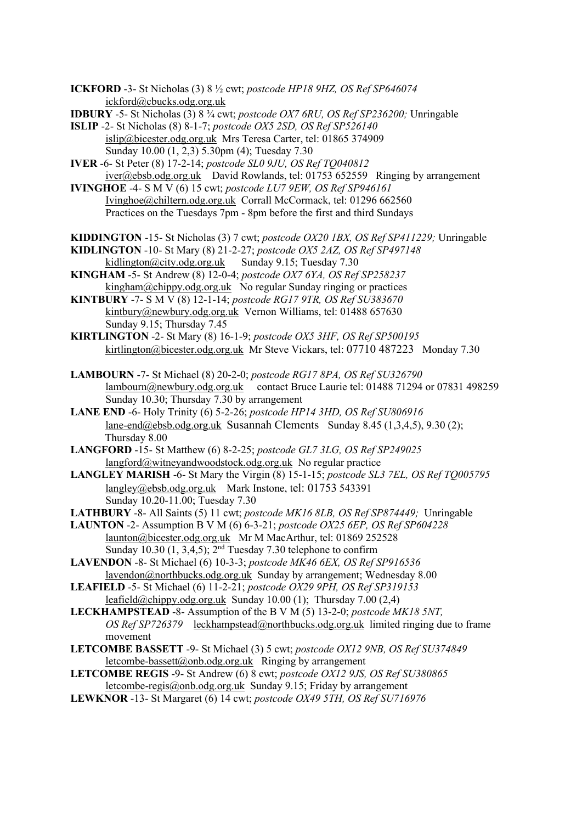- **ICKFORD** -3- St Nicholas (3) 8 ½ cwt; *postcode HP18 9HZ, OS Ref SP646074* [ickford@cbucks.odg.org.uk](mailto:ickford@cbucks.odg.org.uk)
- **IDBURY** -5- St Nicholas (3) 8 ¾ cwt; *postcode OX7 6RU, OS Ref SP236200;* Unringable
- **ISLIP** -2- St Nicholas (8) 8-1-7; *postcode OX5 2SD, OS Ref SP526140* islip@bicester.odg.org.uk Mrs Teresa Carter, tel: 01865 374909 Sunday 10.00 (1, 2,3) 5.30pm (4); Tuesday 7.30
- **IVER** -6- St Peter (8) 17-2-14; *postcode SL0 9JU, OS Ref TQ040812* [iver@ebsb.odg.org.uk](mailto:iver@ebsb.odg.org.uk) David Rowlands, tel: [01753](tel:01753) 652559 Ringing by arrangement
- **IVINGHOE** -4- S M V (6) 15 cwt; *postcode LU7 9EW, OS Ref SP946161* [Ivinghoe@chiltern.odg.org.uk](mailto:Ivinghoe@chiltern.odg.org.uk) Corrall McCormack, tel: 01296 662560 Practices on the Tuesdays 7pm - 8pm before the first and third Sundays
- **KIDDINGTON** -15- St Nicholas (3) 7 cwt; *postcode OX20 1BX, OS Ref SP411229;* Unringable
- **KIDLINGTON** -10- St Mary (8) 21-2-27; *postcode OX5 2AZ, OS Ref SP497148*<br>kidlington@city.odg.org.uk Sunday 9.15; Tuesday 7.30 [kidlington@city.odg.org.uk](mailto:kidlington@city.odg.org.uk)
- **KINGHAM** -5- St Andrew (8) 12-0-4; *postcode OX7 6YA, OS Ref SP258237* [kingham@chippy.odg.org.uk](mailto:kingham@chippy.odg.org.uk) No regular Sunday ringing or practices
- **KINTBURY** -7- S M V (8) 12-1-14; *postcode RG17 9TR, OS Ref SU383670* [kintbury@newbury.odg.org.uk](mailto:kintbury@newbury.odg.org.uk) Vernon Williams, tel: 01488 657630 Sunday 9.15; Thursday 7.45
- **KIRTLINGTON** -2- St Mary (8) 16-1-9; *postcode OX5 3HF, OS Ref SP500195* kirtlington@bicester.odg.org.uk Mr Steve Vickars, tel: 07710 487223 Monday 7.30
- **LAMBOURN** -7- St Michael (8) 20-2-0; *postcode RG17 8PA, OS Ref SU326790* [lambourn@newbury.odg.org.uk](mailto:lambourn@newbury.odg.org.uk) contact Bruce Laurie tel: 01488 71294 or 07831 498259 Sunday 10.30; Thursday 7.30 by arrangement
- **LANE END** -6- Holy Trinity (6) 5-2-26; *postcode HP14 3HD, OS Ref SU806916* [lane-end@ebsb.odg.org.uk](mailto:lane-end@ebsb.odg.org.uk) Susannah Clements Sunday 8.45 (1,3,4,5), 9.30 (2); Thursday 8.00
- **LANGFORD** -15- St Matthew (6) 8-2-25; *postcode GL7 3LG, OS Ref SP249025* [langford@witneyandwoodstock.odg.org.uk](mailto:langford@witneyandwoodstock.odg.org.uk) No regular practice
- **LANGLEY MARISH** -6- St Mary the Virgin (8) 15-1-15; *postcode SL3 7EL, OS Ref TQ005795* langley@ebsb.odg.org.uk Mark Instone, [tel: 01753](tel:01753) 543391 Sunday 10.20-11.00; Tuesday 7.30
- **LATHBURY** -8- All Saints (5) 11 cwt; *postcode MK16 8LB, OS Ref SP874449;* Unringable
- **LAUNTON** -2- Assumption B V M (6) 6-3-21; *postcode OX25 6EP, OS Ref SP604228* launton@bicester.odg.org.uk Mr M MacArthur, tel: 01869 252528 Sunday 10.30 (1, 3,4,5);  $2<sup>nd</sup>$  Tuesday 7.30 telephone to confirm
- **LAVENDON** -8- St Michael (6) 10-3-3; *postcode MK46 6EX, OS Ref SP916536* [lavendon@northbucks.odg.org.uk](mailto:lavendon@northbucks.odg.org.uk) Sunday by arrangement; Wednesday 8.00
- **LEAFIELD** -5- St Michael (6) 11-2-21; *postcode OX29 9PH, OS Ref SP319153* [leafield@chippy.odg.org.uk](mailto:leafield@chippy.odg.org.uk) Sunday 10.00 (1); Thursday 7.00 (2,4)
- **LECKHAMPSTEAD** -8- Assumption of the B V M (5) 13-2-0; *postcode MK18 5NT, OS Ref SP726379* [leckhampstead@northbucks.odg.org.uk](mailto:leckhampstead@northbucks.odg.org.uk) limited ringing due to frame movement
- **LETCOMBE BASSETT** -9- St Michael (3) 5 cwt; *postcode OX12 9NB, OS Ref SU374849* [letcombe-bassett@onb.odg.org.uk](mailto:letcombe-bassett@onb.odg.org.uk) Ringing by arrangement
- **LETCOMBE REGIS** -9- St Andrew (6) 8 cwt; *postcode OX12 9JS, OS Ref SU380865* [letcombe-regis@onb.odg.org.uk](mailto:letcombe-regis@onb.odg.org.uk) Sunday 9.15; Friday by arrangement
- **LEWKNOR** -13- St Margaret (6) 14 cwt; *postcode OX49 5TH, OS Ref SU716976*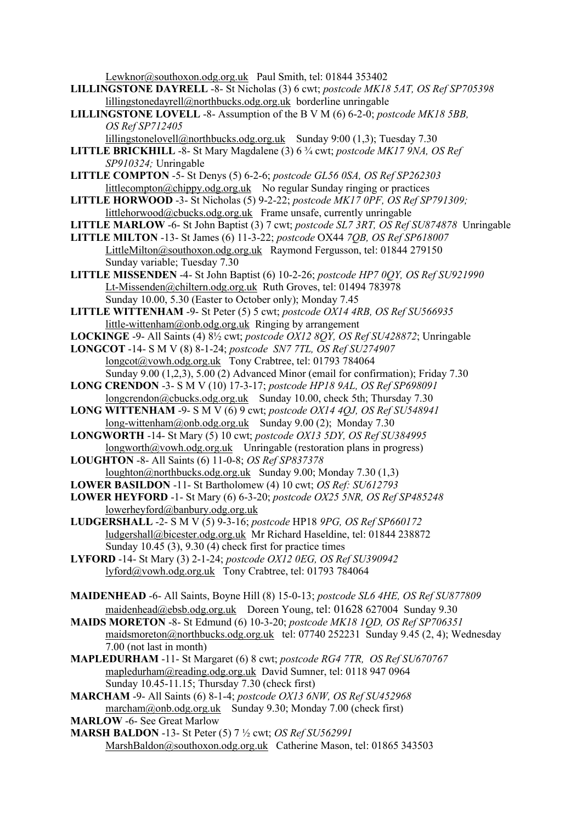[Lewknor@southoxon.odg.org.uk](mailto:Lewknor@southoxon.odg.org.uk) Paul Smith, tel: 01844 353402

- **LILLINGSTONE DAYRELL** -8- St Nicholas (3) 6 cwt; *postcode MK18 5AT, OS Ref SP705398* [lillingstonedayrell@northbucks.odg.org.uk](mailto:lillingstonedayrell@northbucks.odg.org.uk) borderline unringable
- **LILLINGSTONE LOVELL** -8- Assumption of the B V M (6) 6-2-0; *postcode MK18 5BB, OS Ref SP712405*
	- [lillingstonelovell@northbucks.odg.org.uk](mailto:lillingstonelovell@northbucks.odg.org.uk) Sunday 9:00 (1,3); Tuesday 7.30
- **LITTLE BRICKHILL** -8- St Mary Magdalene (3) 6 ¾ cwt; *postcode MK17 9NA, OS Ref SP910324;* Unringable
- **LITTLE COMPTON** -5- St Denys (5) 6-2-6; *postcode GL56 0SA, OS Ref SP262303* [littlecompton@chippy.odg.org.uk](mailto:littlecompton@chippy.odg.org.uk) No regular Sunday ringing or practices
- **LITTLE HORWOOD** -3- St Nicholas (5) 9-2-22; *postcode MK17 0PF, OS Ref SP791309;*  littlehorwood@cbucks.odg.org.uk Frame unsafe, currently unringable
- **LITTLE MARLOW** -6- St John Baptist (3) 7 cwt; *postcode SL7 3RT, OS Ref SU874878* Unringable
- **LITTLE MILTON** -13- St James (6) 11-3-22; *postcode* OX44 *7QB, OS Ref SP618007* [LittleMilton@southoxon.odg.org.uk](mailto:LittleMilton@southoxon.odg.org.uk) Raymond Fergusson, tel: 01844 279150 Sunday variable; Tuesday 7.30
- **LITTLE MISSENDEN** -4- St John Baptist (6) 10-2-26; *postcode HP7 0QY, OS Ref SU921990* [Lt-Missenden@chiltern.odg.org.uk](mailto:Lt-Missenden@chiltern.odg.org.uk) Ruth Groves, tel: 01494 783978 Sunday 10.00, 5.30 (Easter to October only); Monday 7.45
- **LITTLE WITTENHAM** -9- St Peter (5) 5 cwt; *postcode OX14 4RB, OS Ref SU566935* [little-wittenham@onb.odg.org.uk](mailto:little-wittenham@onb.odg.org.uk) Ringing by arrangement
- **LOCKINGE** -9- All Saints (4) 8½ cwt; *postcode OX12 8QY, OS Ref SU428872*; Unringable
- **LONGCOT** -14- S M V (8) 8-1-24; *postcode SN7 7TL, OS Ref SU274907* [longcot@vowh.odg.org.uk](mailto:longcot@vowh.odg.org.uk) Tony Crabtree, tel: 01793 784064 Sunday 9.00 (1,2,3), 5.00 (2) Advanced Minor (email for confirmation); Friday 7.30
- **LONG CRENDON** -3- S M V (10) 17-3-17; *postcode HP18 9AL, OS Ref SP698091* longcrendon@cbucks.odg.org.uk Sunday 10.00, check 5th; Thursday 7.30
- **LONG WITTENHAM** -9- S M V (6) 9 cwt; *postcode OX14 4QJ, OS Ref SU548941* [long-wittenham@onb.odg.org.uk](mailto:long-wittenham@onb.odg.org.uk) Sunday 9.00 (2); Monday 7.30
- **LONGWORTH** -14- St Mary (5) 10 cwt; *postcode OX13 5DY, OS Ref SU384995* [longworth@vowh.odg.org.uk](mailto:ongworth@vowh.odg.org.uk) Unringable (restoration plans in progress)
- **LOUGHTON** -8- All Saints (6) 11-0-8; *OS Ref SP837378* [loughton@northbucks.odg.org.uk](mailto:loughton@northbucks.odg.org.uk) Sunday 9.00; Monday 7.30 (1,3)
- **LOWER BASILDON** -11- St Bartholomew (4) 10 cwt; *OS Ref: SU612793*
- **LOWER HEYFORD** -1- St Mary (6) 6-3-20; *postcode OX25 5NR, OS Ref SP485248* [lowerheyford@banbury.odg.org.uk](mailto:lowerheyford@banbury.odg.org.uk)
- **LUDGERSHALL** -2- S M V (5) 9-3-16; *postcode* HP18 *9PG, OS Ref SP660172* ludgershall@bicester.odg.org.uk Mr Richard Haseldine, tel: 01844 238872 Sunday 10.45 (3), 9.30 (4) check first for practice times
- **LYFORD** -14- St Mary (3) 2-1-24; *postcode OX12 0EG, OS Ref SU390942* [lyford@vowh.odg.org.uk](mailto:lyford@vowh.odg.org.uk) Tony Crabtree, tel: 01793 784064
- **MAIDENHEAD** -6- All Saints, Boyne Hill (8) 15-0-13; *postcode SL6 4HE, OS Ref SU877809* [maidenhead@ebsb.odg.org.uk](mailto:maidenhead@ebsb.odg.org.uk) Doreen Young, [tel: 01628](tel:01628) 627004 Sunday 9.30
- **MAIDS MORETON** -8- St Edmund (6) 10-3-20; *postcode MK18 1QD, OS Ref SP706351* [maidsmoreton@northbucks.odg.org.uk](mailto:maidsmoreton@northbucks.odg.org.uk) tel: 07740 252231 Sunday 9.45 (2, 4); Wednesday 7.00 (not last in month)
- **MAPLEDURHAM** -11- St Margaret (6) 8 cwt; *postcode RG4 7TR, OS Ref SU670767* [mapledurham@reading.odg.org.uk](https://mail2.odg.org.uk:2083/cpsess3220075303/3rdparty/mailman/options/alltowers_reading.odg.org.uk/mapledurham--at--reading.odg.org.uk) David Sumner, tel: 0118 947 0964 Sunday 10.45-11.15; Thursday 7.30 (check first)
- **MARCHAM** -9- All Saints (6) 8-1-4; *postcode OX13 6NW, OS Ref SU452968* [marcham@onb.odg.org.uk](mailto:marcham@onb.odg.org.uk) Sunday 9.30; Monday 7.00 (check first)
- **MARLOW** -6- See Great Marlow
- **MARSH BALDON** -13- St Peter (5) 7 ½ cwt; *OS Ref SU562991* [MarshBaldon@southoxon.odg.org.uk](mailto:MarshBaldon@southoxon.odg.org.uk) Catherine Mason, tel: 01865 343503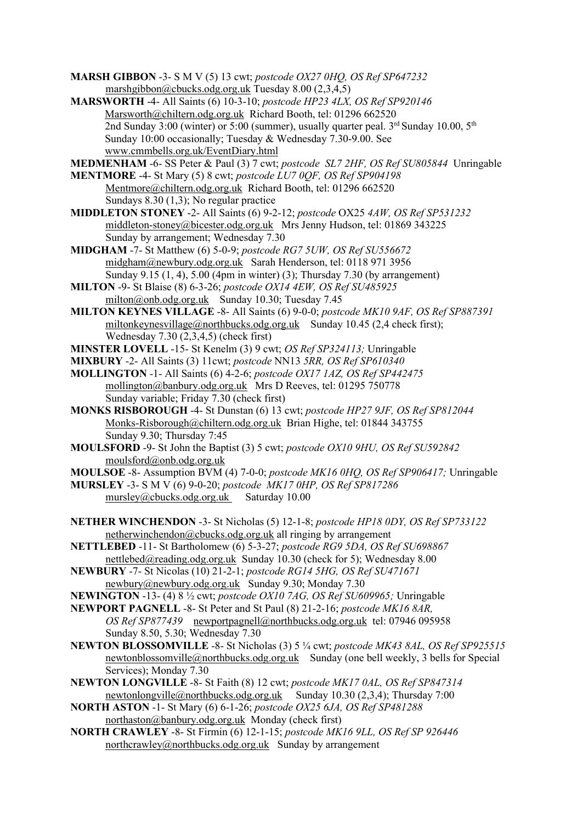- **MARSH GIBBON** -3- S M V (5) 13 cwt; *postcode OX27 0HQ, OS Ref SP647232* marshgibbon@cbucks.odg.org.uk Tuesday 8.00 (2,3,4,5)
- **MARSWORTH** -4- All Saints (6) 10-3-10; *postcode HP23 4LX, OS Ref SP920146* [Marsworth@chiltern.odg.org.uk](mailto:Marsworth@chiltern.odg.org.uk) Richard Booth, tel: 01296 662520 2nd Sunday 3:00 (winter) or 5:00 (summer), usually quarter peal.  $3<sup>rd</sup>$  Sunday 10.00,  $5<sup>th</sup>$ Sunday 10:00 occasionally; Tuesday & Wednesday 7.30-9.00. See [www.cmmbells.org.uk/EventDiary.html](http://www.cmmbells.org.uk/EventDiary.html)
- **MEDMENHAM** -6- SS Peter & Paul (3) 7 cwt; *postcode SL7 2HF, OS Ref SU805844* Unringable **MENTMORE** -4- St Mary (5) 8 cwt; *postcode LU7 0QF, OS Ref SP904198*
	- [Mentmore@chiltern.odg.org.uk](mailto:Mentmore@chiltern.odg.org.uk) Richard Booth, tel: 01296 662520 Sundays 8.30 (1,3); No regular practice
- **MIDDLETON STONEY** -2- All Saints (6) 9-2-12; *postcode* OX25 *4AW, OS Ref SP531232* middleton-stoney@bicester.odg.org.uk Mrs Jenny Hudson, tel: 01869 343225 Sunday by arrangement; Wednesday 7.30
- **MIDGHAM** -7- St Matthew (6) 5-0-9; *postcode RG7 5UW, OS Ref SU556672* [midgham@newbury.odg.org.uk](mailto:midgham@newbury.odg.org.uk) Sarah Henderson, tel: 0118 971 3956 Sunday 9.15 (1, 4), 5.00 (4pm in winter) (3); Thursday 7.30 (by arrangement)
- **MILTON** -9- St Blaise (8) 6-3-26; *postcode OX14 4EW, OS Ref SU485925* [milton@onb.odg.org.uk](mailto:milton@onb.odg.org.uk) Sunday 10.30; Tuesday 7.45
- **MILTON KEYNES VILLAGE** -8- All Saints (6) 9-0-0; *postcode MK10 9AF, OS Ref SP887391* [miltonkeynesvillage@northbucks.odg.org.uk](mailto:miltonkeynesvillage@northbucks.odg.org.uk) Sunday 10.45 (2,4 check first); Wednesday 7.30 (2,3,4,5) (check first)
- **MINSTER LOVELL** -15- St Kenelm (3) 9 cwt; *OS Ref SP324113;* Unringable
- **MIXBURY** -2- All Saints (3) 11cwt; *postcode* NN13 *5RR, OS Ref SP610340*
- **MOLLINGTON** -1- All Saints (6) 4-2-6; *postcode OX17 1AZ, OS Ref SP442475* [mollington@banbury.odg.org.uk](mailto:mollington@banbury.odg.org.uk) Mrs D Reeves, tel: 01295 750778 Sunday variable; Friday 7.30 (check first)
- **MONKS RISBOROUGH** -4- St Dunstan (6) 13 cwt; *postcode HP27 9JF, OS Ref SP812044* [Monks-Risborough@chiltern.odg.org.uk](mailto:Monks-Risborough@chiltern.odg.org.uk) Brian Highe, tel: 01844 343755 Sunday 9.30; Thursday 7:45
- **MOULSFORD** -9- St John the Baptist (3) 5 cwt; *postcode OX10 9HU, OS Ref SU592842* [moulsford@onb.odg.org.uk](mailto:moulsford@onb.odg.org.uk)
- **MOULSOE** -8- Assumption BVM (4) 7-0-0; *postcode MK16 0HQ, OS Ref SP906417;* Unringable
- **MURSLEY** -3- S M V (6) 9-0-20; *postcode MK17 0HP, OS Ref SP817286* [mursley@cbucks.odg.org.uk](mailto:mursley@cbucks.odg.org.uk) Saturday 10.00
- **NETHER WINCHENDON** -3- St Nicholas (5) 12-1-8; *postcode HP18 0DY, OS Ref SP733122* [netherwinchendon@cbucks.odg.org.](mailto:netherwinchendon@cbucks.odg.org)uk all ringing by arrangement
- **NETTLEBED** -11- St Bartholomew (6) 5-3-27; *postcode RG9 5DA, OS Ref SU698867* [nettlebed@reading.odg.org.uk](https://mail2.odg.org.uk:2083/cpsess3220075303/3rdparty/mailman/options/alltowers_reading.odg.org.uk/nettlebed--at--reading.odg.org.uk) Sunday 10.30 (check for 5); Wednesday 8.00
- **NEWBURY** -7- St Nicolas (10) 21-2-1; *postcode RG14 5HG, OS Ref SU471671* [newbury@newbury.odg.org.uk](mailto:newbury@newbury.odg.org.uk) Sunday 9.30; Monday 7.30
- **NEWINGTON** -13- (4) 8 ½ cwt; *postcode OX10 7AG, OS Ref SU609965;* Unringable
- **NEWPORT PAGNELL** -8- St Peter and St Paul (8) 21-2-16; *postcode MK16 8AR, OS Ref SP877439* [newportpagnell@northbucks.odg.org.uk](mailto:newportpagnell@northbucks.odg.org.uk) tel: 07946 095958 Sunday 8.50, 5.30; Wednesday 7.30
- **NEWTON BLOSSOMVILLE** -8- St Nicholas (3) 5 ¼ cwt; *postcode MK43 8AL, OS Ref SP925515* [newtonblossomville@northbucks.odg.org.uk](mailto:newtonblossomville@northbucks.odg.org.uk) Sunday (one bell weekly, 3 bells for Special Services); Monday 7.30
- **NEWTON LONGVILLE** -8- St Faith (8) 12 cwt; *postcode MK17 0AL, OS Ref SP847314* [newtonlongville@northbucks.odg.org.uk](mailto:newtonlongville@northbucks.odg.org.uk) Sunday 10.30 (2,3,4); Thursday 7:00
- **NORTH ASTON** -1- St Mary (6) 6-1-26; *postcode OX25 6JA, OS Ref SP481288* [northaston@banbury.odg.org.uk](mailto:northaston@banbury.odg.org.uk) Monday (check first)
- **NORTH CRAWLEY** -8- St Firmin (6) 12-1-15; *postcode MK16 9LL, OS Ref SP 926446* [northcrawley@northbucks.odg.org.uk](mailto:northcrawley@northbucks.odg.org.uk) Sunday by arrangement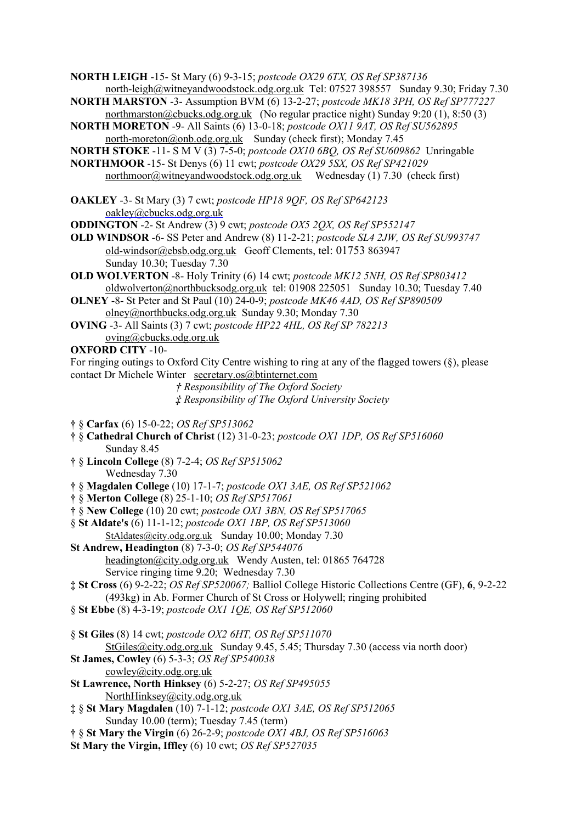**NORTH LEIGH** -15- St Mary (6) 9-3-15; *postcode OX29 6TX, OS Ref SP387136* [north-leigh@witneyandwoodstock.odg.org.uk](mailto:north-leigh@witneyandwoodstock.odg.org.uk) Tel: 07527 398557 Sunday 9.30; Friday 7.30

- **NORTH MARSTON** -3- Assumption BVM (6) 13-2-27; *postcode MK18 3PH, OS Ref SP777227* [northmarston@cbucks.odg.org.uk](mailto:northmarston@cbucks.odg.org.uk) (No regular practice night) Sunday 9:20 (1), 8:50 (3)
- **NORTH MORETON** -9- All Saints (6) 13-0-18; *postcode OX11 9AT, OS Ref SU562895* [north-moreton@onb.odg.org.uk](mailto:north-moreton@onb.odg.org.uk) Sunday (check first); Monday 7.45
- **NORTH STOKE** -11- S M V (3) 7-5-0; *postcode OX10 6BQ, OS Ref SU609862* Unringable
- **NORTHMOOR** -15- St Denys (6) 11 cwt; *postcode OX29 5SX, OS Ref SP421029* [northmoor@witneyandwoodstock.odg.org.uk](mailto:northmoor@witneyandwoodstock.odg.org.uk) Wednesday (1) 7.30 (check first)
- **OAKLEY** -3- St Mary (3) 7 cwt; *postcode HP18 9QF, OS Ref SP642123* [oakley@cbucks.odg](mailto:oakley@cbucks.odg)[.org.uk](http://org.uk/)

**ODDINGTON** -2- St Andrew (3) 9 cwt; *postcode OX5 2QX, OS Ref SP552147*

- **OLD WINDSOR** -6- SS Peter and Andrew (8) 11-2-21; *postcode SL4 2JW, OS Ref SU993747* [old-windsor@ebsb.odg.org.uk](mailto:old-windsor@ebsb.odg.org.uk) Geoff Clements, tel: [01753](tel:01753) 863947 Sunday 10.30; Tuesday 7.30
- **OLD WOLVERTON** -8- Holy Trinity (6) 14 cwt; *postcode MK12 5NH, OS Ref SP803412* [oldwolverton@northbucksodg.org.uk](mailto:oldwolverton@northbucksodg.org.uk) tel: 01908 225051 Sunday 10.30; Tuesday 7.40
- **OLNEY** -8- St Peter and St Paul (10) 24-0-9; *postcode MK46 4AD, OS Ref SP890509* [olney@northbucks.odg.org.uk](mailto:olney@northbucks.odg.org.uk) Sunday 9.30; Monday 7.30
- **OVING** -3- All Saints (3) 7 cwt; *postcode HP22 4HL, OS Ref SP 782213* [oving@cbucks.odg.org.uk](mailto:oving@cbucks.odg.org.uk)
- **OXFORD CITY** -10-

For ringing outings to Oxford City Centre wishing to ring at any of the flagged towers (§), please contact Dr Michele Winter [secretary.os@btinternet.com](mailto:secretary.os@btinternet.com)

> *† Responsibility of The Oxford Society ‡ Responsibility of The Oxford University Society*

- **†** § **Carfax** (6) 15-0-22; *OS Ref SP513062*
- **†** § **Cathedral Church of Christ** (12) 31-0-23; *postcode OX1 1DP, OS Ref SP516060* Sunday 8.45
- **†** § **Lincoln College** (8) 7-2-4; *OS Ref SP515062* Wednesday 7.30
- **†** § **Magdalen College** (10) 17-1-7; *postcode OX1 3AE, OS Ref SP521062*
- **†** § **Merton College** (8) 25-1-10; *OS Ref SP517061*
- **†** § **New College** (10) 20 cwt; *postcode OX1 3BN, OS Ref SP517065*
- § **St Aldate's** (6) 11-1-12; *postcode OX1 1BP, OS Ref SP513060* [StAldates@city.odg.org.uk](mailto:StAldates@city.odg.org.uk) Sunday 10.00; Monday 7.30
- **St Andrew, Headington** (8) 7-3-0; *OS Ref SP544076* [headington@city.odg.org.uk](mailto:headington@city.odg.org.uk) Wendy Austen, tel: 01865 764728 Service ringing time 9.20; Wednesday 7.30
- **‡ St Cross** (6) 9-2-22; *OS Ref SP520067;* Balliol College Historic Collections Centre (GF), **6**, 9-2-22 (493kg) in Ab. Former Church of St Cross or Holywell; ringing prohibited
- § **St Ebbe** (8) 4-3-19; *postcode OX1 1QE, OS Ref SP512060*
- § **St Giles** (8) 14 cwt; *postcode OX2 6HT, OS Ref SP511070* [StGiles@city.odg.org.uk](mailto:StGiles@city.odg.org.uk) Sunday 9.45, 5.45; Thursday 7.30 (access via north door)
- **St James, Cowley** (6) 5-3-3; *OS Ref SP540038*
	- [cowley@city.odg.org.uk](mailto:cowley@city.odg.org.uk)
- **St Lawrence, North Hinksey** (6) 5-2-27; *OS Ref SP495055* [NorthHinksey@city.odg.org.uk](mailto:NorthHinksey@city.odg.org.uk)
- **‡** § **St Mary Magdalen** (10) 7-1-12; *postcode OX1 3AE, OS Ref SP512065* Sunday 10.00 (term); Tuesday 7.45 (term)
- **†** § **St Mary the Virgin** (6) 26-2-9; *postcode OX1 4BJ, OS Ref SP516063*
- **St Mary the Virgin, Iffley** (6) 10 cwt; *OS Ref SP527035*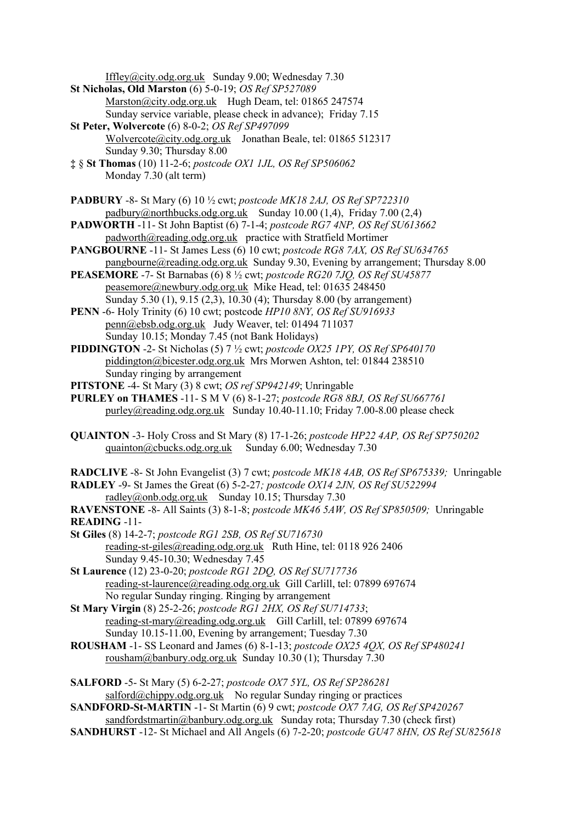[Iffley@city.odg.org.uk](mailto:Iffley@city.odg.org.uk) Sunday 9.00; Wednesday 7.30

- **St Nicholas, Old Marston** (6) 5-0-19; *OS Ref SP527089* [Marston@city.odg.org.uk](mailto:Marston@city.odg.org.uk) Hugh Deam, tel: 01865 247574 Sunday service variable, please check in advance); Friday 7.15
- **St Peter, Wolvercote** (6) 8-0-2; *OS Ref SP497099* [Wolvercote@city.odg.org.uk](mailto:Wolvercote@city.odg.org.uk) Jonathan Beale, tel: 01865 512317 Sunday 9.30; Thursday 8.00
- **‡** § **St Thomas** (10) 11-2-6; *postcode OX1 1JL, OS Ref SP506062* Monday 7.30 (alt term)
- **PADBURY** -8- St Mary (6) 10 ½ cwt; *postcode MK18 2AJ, OS Ref SP722310* [padbury@northbucks.odg.org.uk](mailto:padbury@northbucks.odg.org.uk) Sunday 10.00 (1,4), Friday 7.00 (2,4)
- **PADWORTH** -11- St John Baptist (6) 7-1-4; *postcode RG7 4NP, OS Ref SU613662* [padworth@reading.odg.org.uk](mailto:padworth@reading.odg.org.uk) practice with Stratfield Mortimer
- **PANGBOURNE** -11- St James Less (6) 10 cwt; *postcode RG8 7AX, OS Ref SU634765* [pangbourne@reading.odg.org.uk](https://mail2.odg.org.uk:2083/cpsess3220075303/3rdparty/mailman/options/alltowers_reading.odg.org.uk/pangbourne--at--reading.odg.org.uk) Sunday 9.30, Evening by arrangement; Thursday 8.00
- **PEASEMORE** -7- St Barnabas (6) 8 ½ cwt; *postcode RG20 7JQ, OS Ref SU45877* [peasemore@newbury.odg.org.uk](mailto:peasemore@newbury.odg.org.uk) Mike Head, tel: 01635 248450 Sunday 5.30 (1), 9.15 (2,3), 10.30 (4); Thursday 8.00 (by arrangement)
- **PENN** -6- Holy Trinity (6) 10 cwt; postcode *HP10 8NY, OS Ref SU916933* [penn@ebsb.odg.org.uk](mailto:penn@ebsb.odg.org.uk) Judy Weaver, tel: 01494 711037 Sunday 10.15; Monday 7.45 (not Bank Holidays)
- **PIDDINGTON** -2- St Nicholas (5) 7 ½ cwt; *postcode OX25 1PY, OS Ref SP640170* piddington@bicester.odg.org.uk Mrs Morwen Ashton, tel: 01844 238510 Sunday ringing by arrangement
- **PITSTONE** -4- St Mary (3) 8 cwt; *OS ref SP942149*; Unringable
- **PURLEY on THAMES** -11- S M V (6) 8-1-27; *postcode RG8 8BJ, OS Ref SU667761* [purley@reading.odg.org.uk](mailto:purley@reading.odg.org.uk) Sunday 10.40-11.10; Friday 7.00-8.00 please check
- **QUAINTON** -3- Holy Cross and St Mary (8) 17-1-26; *postcode HP22 4AP, OS Ref SP750202* [quainton@cbucks.odg.org.uk](mailto:quainton@cbucks.odg.org.uk) Sunday 6.00; Wednesday 7.30
- **RADCLIVE** -8- St John Evangelist (3) 7 cwt; *postcode MK18 4AB, OS Ref SP675339;* Unringable
- **RADLEY** -9- St James the Great (6) 5-2-27*; postcode OX14 2JN, OS Ref SU522994* [radley@onb.odg.org.uk](mailto:radley@onb.odg.org.uk) Sunday 10.15; Thursday 7.30

**RAVENSTONE** -8- All Saints (3) 8-1-8; *postcode MK46 5AW, OS Ref SP850509;* Unringable **READING** -11-

- **St Giles** (8) 14-2-7; *postcode RG1 2SB, OS Ref SU716730* [reading-st-giles@reading.odg.org.uk](mailto:reading-st-giles@reading.odg.org.uk) Ruth Hine, tel: 0118 926 2406 Sunday 9.45-10.30; Wednesday 7.45
- **St Laurence** (12) 23-0-20; *postcode RG1 2DQ, OS Ref SU717736* [reading-st-laurence@reading.odg.org.uk](mailto:reading-st-laurence@reading.odg.org.uk) Gill Carlill, tel: 07899 697674 No regular Sunday ringing. Ringing by arrangement
- **St Mary Virgin** (8) 25-2-26; *postcode RG1 2HX, OS Ref SU714733*; [reading-st-mary@reading.odg.org.uk](mailto:reading-st-mary@reading.odg.org.uk) Gill Carlill, tel: 07899 697674 Sunday 10.15-11.00, Evening by arrangement; Tuesday 7.30
- **ROUSHAM** -1- SS Leonard and James (6) 8-1-13; *postcode OX25 4QX, OS Ref SP480241* [rousham@banbury.odg.org.uk](mailto:rousham@banbury.odg.org.uk) Sunday 10.30 (1); Thursday 7.30
- **SALFORD** -5- St Mary (5) 6-2-27; *postcode OX7 5YL, OS Ref SP286281* [salford@chippy.odg.org.uk](mailto:salford@chippy.odg.org.uk) No regular Sunday ringing or practices
- **SANDFORD-St-MARTIN** -1- St Martin (6) 9 cwt; *postcode OX7 7AG, OS Ref SP420267* [sandfordstmartin@banbury.odg.org.uk](mailto:sandfordstmartin@banbury.odg.org.uk) Sunday rota; Thursday 7.30 (check first)
- **SANDHURST** -12- St Michael and All Angels (6) 7-2-20; *postcode GU47 8HN, OS Ref SU825618*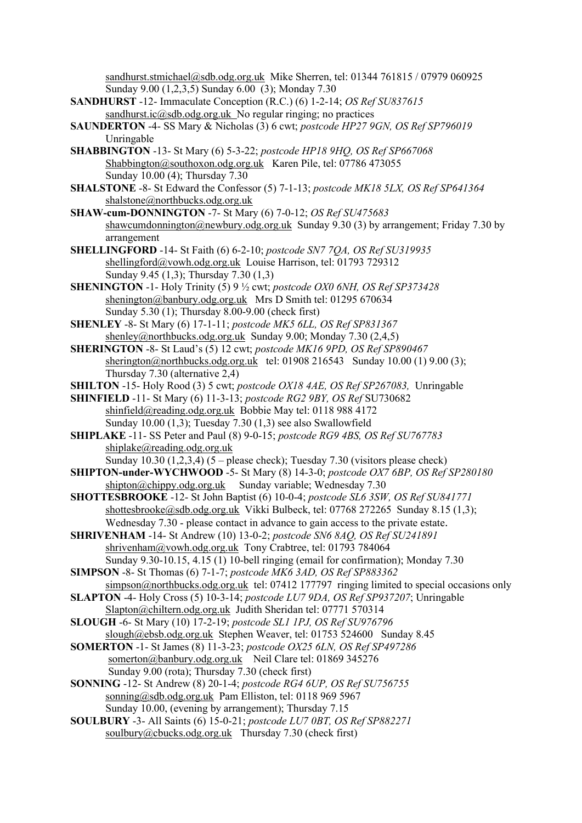[sandhurst.stmichael@sdb.odg.org.uk](mailto:sandhurst.stmichael@sdb.odg.org.uk) Mike Sherren, tel: 01344 761815 / 07979 060925 Sunday 9.00 (1,2,3,5) Sunday 6.00 (3); Monday 7.30

- **SANDHURST** -12- Immaculate Conception (R.C.) (6) 1-2-14; *OS Ref SU837615* sandhurst.ic $@sdb.$ odg.org.uk No regular ringing; no practices
- **SAUNDERTON** -4- SS Mary & Nicholas (3) 6 cwt; *postcode HP27 9GN, OS Ref SP796019* Unringable
- **SHABBINGTON** -13- St Mary (6) 5-3-22; *postcode HP18 9HQ, OS Ref SP667068* [Shabbington@southoxon.odg.org.uk](mailto:Shabbington@southoxon.odg.org.uk) Karen Pile, tel: 07786 473055 Sunday 10.00 (4); Thursday 7.30
- **SHALSTONE** -8- St Edward the Confessor (5) 7-1-13; *postcode MK18 5LX, OS Ref SP641364* [shalstone@northbucks.odg.org.uk](mailto:shalstone@northbucks.odg.org.uk)
- **SHAW-cum-DONNINGTON** -7- St Mary (6) 7-0-12; *OS Ref SU475683* [shawcumdonnington@newbury.odg.org.uk](mailto:shawcumdonnington@newbury.odg.org.uk) Sunday 9.30 (3) by arrangement; Friday 7.30 by arrangement
- **SHELLINGFORD** -14- St Faith (6) 6-2-10; *postcode SN7 7QA, OS Ref SU319935* [shellingford@vowh.odg.org.uk](mailto:shellingford@vowh.odg.org.uk) Louise Harrison, tel: 01793 729312 Sunday 9.45 (1,3); Thursday 7.30 (1,3)
- **SHENINGTON** -1- Holy Trinity (5) 9 ½ cwt; *postcode OX0 6NH, OS Ref SP373428* [shenington@banbury.odg.org.uk](mailto:shenington@banbury.odg.org.uk) Mrs D Smith tel: 01295 670634 Sunday 5.30 (1); Thursday 8.00-9.00 (check first)
- **SHENLEY** -8- St Mary (6) 17-1-11; *postcode MK5 6LL, OS Ref SP831367* [shenley@northbucks.odg.org.uk](mailto:shenley@northbucks.odg.org.uk) Sunday 9.00; Monday 7.30 (2,4,5)
- **SHERINGTON** -8- St Laud's (5) 12 cwt; *postcode MK16 9PD, OS Ref SP890467* [sherington@northbucks.odg.org.uk](mailto:sherington@northbucks.odg.org.uk) tel: 01908 216543 Sunday 10.00 (1) 9.00 (3); Thursday 7.30 (alternative 2,4)
- **SHILTON** -15- Holy Rood (3) 5 cwt; *postcode OX18 4AE, OS Ref SP267083,* Unringable
- **SHINFIELD** -11- St Mary (6) 11-3-13; *postcode RG2 9BY, OS Ref* SU730682 [shinfield@reading.odg.org.uk](https://mail2.odg.org.uk:2083/cpsess3220075303/3rdparty/mailman/options/alltowers_reading.odg.org.uk/shinfield--at--reading.odg.org.uk) Bobbie May tel: 0118 988 4172 Sunday 10.00 (1,3); Tuesday 7.30 (1,3) see also Swallowfield
- **SHIPLAKE** -11- SS Peter and Paul (8) 9-0-15; *postcode RG9 4BS, OS Ref SU767783* [shiplake@reading.odg.org.uk](https://mail2.odg.org.uk:2083/cpsess3220075303/3rdparty/mailman/options/alltowers_reading.odg.org.uk/shiplake--at--reading.odg.org.uk)

Sunday  $10.30$   $(1,2,3,4)$   $(5$  – please check); Tuesday 7.30 (visitors please check)

- **SHIPTON-under-WYCHWOOD** -5- St Mary (8) 14-3-0; *postcode OX7 6BP, OS Ref SP280180* [shipton@chippy.odg.org.uk](mailto:shipton@chippy.odg.org.uk) Sunday variable; Wednesday 7.30
- **SHOTTESBROOKE** -12- St John Baptist (6) 10-0-4; *postcode SL6 3SW, OS Ref SU841771* [shottesbrooke@sdb.odg.org.uk](mailto:shottesbrooke@sdb.odg.org.uk) Vikki Bulbeck, tel: 07768 272265 Sunday 8.15 (1,3); Wednesday 7.30 - please contact in advance to gain access to the private estate.
- **SHRIVENHAM** -14- St Andrew (10) 13-0-2; *postcode SN6 8AQ, OS Ref SU241891* [shrivenham@vowh.odg.org.uk](mailto:shrivenham@vowh.odg.org.uk) Tony Crabtree, tel: 01793 784064 Sunday 9.30-10.15, 4.15 (1) 10-bell ringing (email for confirmation); Monday 7.30
- **SIMPSON** -8- St Thomas (6) 7-1-7; *postcode MK6 3AD, OS Ref SP883362* [simpson@northbucks.odg.org.uk](mailto:simpson@northbucks.odg.org.uk) tel: 07412 177797 ringing limited to special occasions only
- **SLAPTON** -4- Holy Cross (5) 10-3-14; *postcode LU7 9DA, OS Ref SP937207*; Unringable [Slapton@chiltern.odg.org.uk](mailto:Slapton@chiltern.odg.org.uk) Judith Sheridan tel: 07771 570314
- **SLOUGH** -6- St Mary (10) 17-2-19; *postcode SL1 1PJ, OS Ref SU976796* [slough@ebsb.odg.org.uk](mailto:slough@ebsb.odg.org.uk) Stephen Weaver, tel: 01753 524600 Sunday 8.45
- **SOMERTON** -1- St James (8) 11-3-23; *postcode OX25 6LN, OS Ref SP497286* [somerton@banbury.odg.org.uk](mailto:somerton@banbury.odg.org.uk) Neil Clare tel: 01869 345276 Sunday 9.00 (rota); Thursday 7.30 (check first)
- **SONNING** -12- St Andrew (8) 20-1-4; *postcode RG4 6UP, OS Ref SU756755* [sonning@sdb.odg.org.uk](mailto:sonning@sdb.odg.org.uk) Pam Elliston, tel: 0118 969 5967 Sunday 10.00, (evening by arrangement); Thursday 7.15
- **SOULBURY** -3- All Saints (6) 15-0-21; *postcode LU7 0BT, OS Ref SP882271* soulbury@cbucks.odg.org.uk Thursday 7.30 (check first)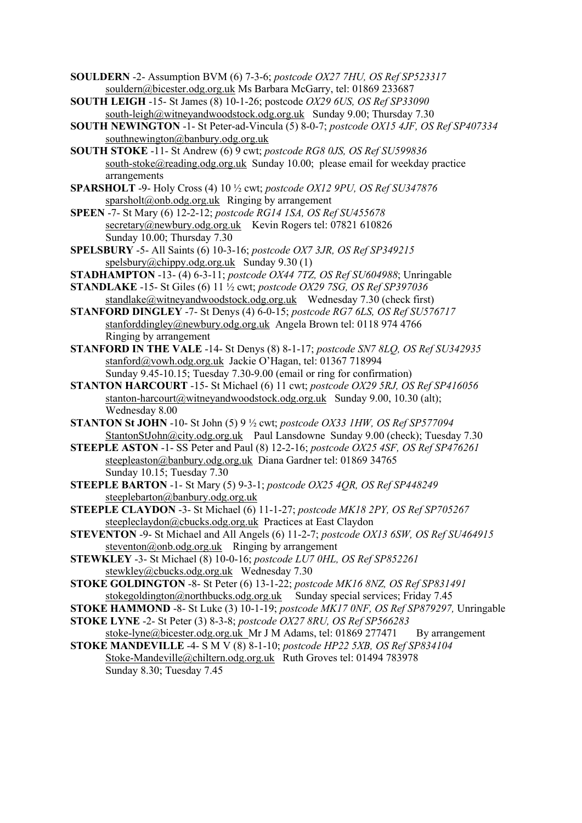- **SOULDERN** -2- Assumption BVM (6) 7-3-6; *postcode OX27 7HU, OS Ref SP523317* [souldern@bicester.odg.org.uk](mailto:souldern@bicester.odg.org.uk) Ms Barbara McGarry, tel: 01869 233687
- **SOUTH LEIGH** -15- St James (8) 10-1-26; postcode *OX29 6US, OS Ref SP33090* [south-leigh@witneyandwoodstock.odg.org.uk](mailto:south-leigh@witneyandwoodstock.odg.org.uk) Sunday 9.00; Thursday 7.30
- **SOUTH NEWINGTON** -1- St Peter-ad-Vincula (5) 8-0-7; *postcode OX15 4JF, OS Ref SP407334* [southnewington@banbury.odg.org.uk](mailto:southnewington@banbury.odg.org.uk)
- **SOUTH STOKE** -11- St Andrew (6) 9 cwt; *postcode RG8 0JS, OS Ref SU599836* [south-stoke@reading.odg.org.uk](mailto:south-stoke@reading.odg.org.uk) Sunday 10.00; please email for weekday practice arrangements
- **SPARSHOLT** -9- Holy Cross (4) 10 ½ cwt; *postcode OX12 9PU, OS Ref SU347876* [sparsholt@onb.odg.org.uk](mailto:sparsholt@onb.odg.org.uk) Ringing by arrangement
- **SPEEN** -7- St Mary (6) 12-2-12; *postcode RG14 1SA, OS Ref SU455678* [secretary@newbury.odg.org.uk](mailto:secretary@newbury.odg.org.uk) Kevin Rogers tel: 07821 610826 Sunday 10.00; Thursday 7.30
- **SPELSBURY** -5- All Saints (6) 10-3-16; *postcode OX7 3JR, OS Ref SP349215*  [spelsbury@chippy.odg.org.uk](mailto:spelsbury@chippy.odg.org.uk) Sunday 9.30 (1)
- **STADHAMPTON** -13- (4) 6-3-11; *postcode OX44 7TZ, OS Ref SU604988*; Unringable
- **STANDLAKE** -15- St Giles (6) 11 ½ cwt; *postcode OX29 7SG, OS Ref SP397036* [standlake@witneyandwoodstock.odg.org.uk](mailto:standlake@witneyandwoodstock.odg.org.uk) Wednesday 7.30 (check first)
- **STANFORD DINGLEY** -7- St Denys (4) 6-0-15; *postcode RG7 6LS, OS Ref SU576717* [stanforddingley@newbury.odg.org.uk](mailto:stanforddingley@newbury.odg.org.uk) Angela Brown tel: 0118 974 4766 Ringing by arrangement
- **STANFORD IN THE VALE** -14- St Denys (8) 8-1-17; *postcode SN7 8LQ, OS Ref SU342935* [stanford@vowh.odg.org.uk](mailto:stanford@vowh.odg.org.uk) Jackie O'Hagan, tel: 01367 718994 Sunday 9.45-10.15; Tuesday 7.30-9.00 (email or ring for confirmation)
- **STANTON HARCOURT** -15- St Michael (6) 11 cwt; *postcode OX29 5RJ, OS Ref SP416056* [stanton-harcourt@witneyandwoodstock.odg.org.uk](mailto:stanton-harcourt@witneyandwoodstock.odg.org.uk) Sunday 9.00, 10.30 (alt); Wednesday 8.00
- **STANTON St JOHN** -10- St John (5) 9 ½ cwt; *postcode OX33 1HW, OS Ref SP577094* [StantonStJohn@city.odg.org.uk](mailto:StantonStJohn@city.odg.org.uk) Paul Lansdowne Sunday 9.00 (check); Tuesday 7.30
- **STEEPLE ASTON** -1- SS Peter and Paul (8) 12-2-16; *postcode OX25 4SF, OS Ref SP476261* [steepleaston@banbury.odg.org.uk](mailto:steepleaston@banbury.odg.org.uk) Diana Gardner tel: 01869 34765 Sunday 10.15; Tuesday 7.30
- **STEEPLE BARTON** -1- St Mary (5) 9-3-1; *postcode OX25 4QR, OS Ref SP448249* [steeplebarton@banbury.odg.org.uk](mailto:steeplebarton@banbury.odg.org.uk)
- **STEEPLE CLAYDON** -3- St Michael (6) 11-1-27; *postcode MK18 2PY, OS Ref SP705267* steepleclaydon@cbucks.odg.org.uk Practices at East Claydon
- **STEVENTON** -9- St Michael and All Angels (6) 11-2-7; *postcode OX13 6SW, OS Ref SU464915*  $steventon@onb.odg.org.uk$  Ringing by arrangement
- **STEWKLEY** -3- St Michael (8) 10-0-16; *postcode LU7 0HL, OS Ref SP852261* stewkley@cbucks.odg.org.uk Wednesday 7.30
- **STOKE GOLDINGTON** -8- St Peter (6) 13-1-22; *postcode MK16 8NZ, OS Ref SP831491* [stokegoldington@northbucks.odg.org.uk](mailto:stokegoldington@northbucks.odg.org.uk) Sunday special services; Friday 7.45
- **STOKE HAMMOND** -8- St Luke (3) 10-1-19; *postcode MK17 0NF, OS Ref SP879297,* Unringable **STOKE LYNE** -2- St Peter (3) 8-3-8; *postcode OX27 8RU, OS Ref SP566283*
- [stoke-lyne@bicester.odg.org.uk](mailto:stoke-lyne@bicester.odg.org.uk) Mr J M Adams, tel: 01869 277471 By arrangement
- **STOKE MANDEVILLE** -4- S M V (8) 8-1-10; *postcode HP22 5XB, OS Ref SP834104* [Stoke-Mandeville@chiltern.odg.org.uk](mailto:Stoke-Mandeville@chiltern.odg.org.uk) Ruth Groves tel: 01494 783978 Sunday 8.30; Tuesday 7.45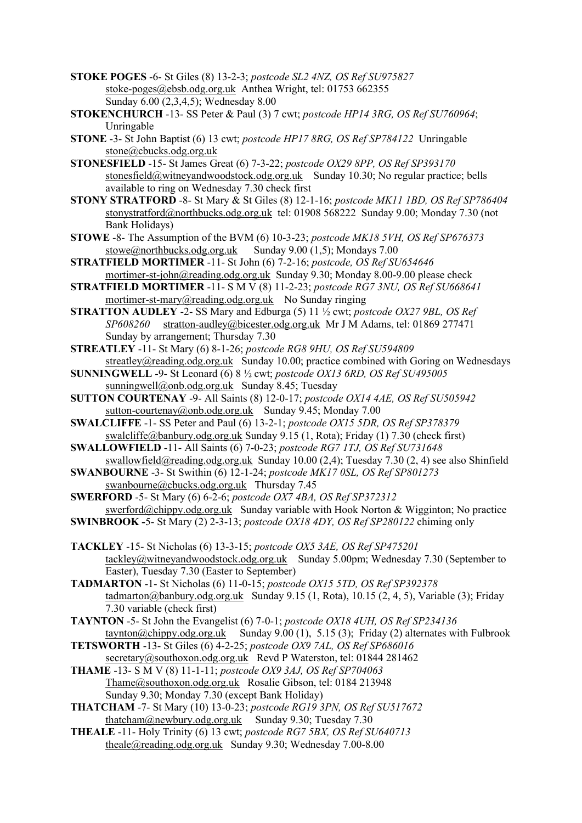- **STOKE POGES** -6- St Giles (8) 13-2-3; *postcode SL2 4NZ, OS Ref SU975827* [stoke-poges@ebsb.odg.org.uk](mailto:stoke-poges@ebsb.odg.org.uk) Anthea Wright, tel: 01753 662355 Sunday 6.00 (2,3,4,5); Wednesday 8.00
- **STOKENCHURCH** -13- SS Peter & Paul (3) 7 cwt; *postcode HP14 3RG, OS Ref SU760964*; Unringable
- **STONE** -3- St John Baptist (6) 13 cwt; *postcode HP17 8RG, OS Ref SP784122* Unringable [stone@cbucks.odg.org.uk](mailto:stone@cbucks.odg.org.uk)
- **STONESFIELD** -15- St James Great (6) 7-3-22; *postcode OX29 8PP, OS Ref SP393170* [stonesfield@witneyandwoodstock.odg.org.uk](mailto:stonesfield@witneyandwoodstock.odg.org.uk) Sunday 10.30; No regular practice; bells available to ring on Wednesday 7.30 check first
- **STONY STRATFORD** -8- St Mary & St Giles (8) 12-1-16; *postcode MK11 1BD, OS Ref SP786404* [stonystratford@northbucks.odg.org.uk](mailto:stonystratford@northbucks.odg.org.uk) tel: 01908 568222 Sunday 9.00; Monday 7.30 (not Bank Holidays)
- **STOWE** -8- The Assumption of the BVM (6) 10-3-23; *postcode MK18 5VH, OS Ref SP676373* [stowe@northbucks.odg.org.uk](mailto:stowe@northbucks.odg.org.uk) Sunday 9.00 (1,5); Mondays 7.00
- **STRATFIELD MORTIMER** -11- St John (6) 7-2-16; *postcode, OS Ref SU654646* [mortimer-st-john@reading.odg.org.uk](mailto:mortimer-st-john@reading.odg.org.uk) Sunday 9.30; Monday 8.00-9.00 please check
- **STRATFIELD MORTIMER** -11- S M V (8) 11-2-23; *postcode RG7 3NU, OS Ref SU668641* [mortimer-st-mary@reading.odg.org.uk](mailto:mortimer-st-mary@reading.odg.org.uk) No Sunday ringing
- **STRATTON AUDLEY** -2- SS Mary and Edburga (5) 11 ½ cwt; *postcode OX27 9BL, OS Ref SP608260* [stratton-audley@bicester.odg.org.uk](mailto:stratton-audley@bicester.odg.org.uk) Mr J M Adams, tel: 01869 277471 Sunday by arrangement; Thursday 7.30
- **STREATLEY** -11- St Mary (6) 8-1-26; *postcode RG8 9HU, OS Ref SU594809* [streatley@reading.odg.org.uk](mailto:streatley@reading.odg.org.uk) Sunday 10.00; practice combined with Goring on Wednesdays
- **SUNNINGWELL** -9- St Leonard (6) 8 ½ cwt; *postcode OX13 6RD, OS Ref SU495005* [sunningwell@onb.odg.org.uk](mailto:sunningwell@onb.odg.org.uk) Sunday 8.45; Tuesday
- **SUTTON COURTENAY** -9- All Saints (8) 12-0-17; *postcode OX14 4AE, OS Ref SU505942* [sutton-courtenay@onb.odg.org.uk](mailto:sutton-courtenay@onb.odg.org.uk) Sunday 9.45; Monday 7.00
- **SWALCLIFFE** -1- SS Peter and Paul (6) 13-2-1; *postcode OX15 5DR, OS Ref SP378379* [swalcliffe@banbury.odg.org.uk](mailto:swalcliffe@banbury.odg.org.uk) Sunday 9.15 (1, Rota); Friday (1) 7.30 (check first)
- **SWALLOWFIELD** -11- All Saints (6) 7-0-23; *postcode RG7 1TJ, OS Ref SU731648* [swallowfield@reading.odg.org.uk](https://mail2.odg.org.uk:2083/cpsess3220075303/3rdparty/mailman/options/alltowers_reading.odg.org.uk/swallowfield--at--reading.odg.org.uk) Sunday 10.00 (2,4); Tuesday 7.30 (2, 4) see also Shinfield
- **SWANBOURNE** -3- St Swithin (6) 12-1-24; *postcode MK17 0SL, OS Ref SP801273* swanbourne@cbucks.odg.org.uk Thursday 7.45
- **SWERFORD** -5- St Mary (6) 6-2-6; *postcode OX7 4BA, OS Ref SP372312* [swerford@chippy.odg.org.uk](mailto:swerford@chippy.odg.org.uk) Sunday variable with Hook Norton & Wigginton; No practice
- **SWINBROOK -**5- St Mary (2) 2-3-13; *postcode OX18 4DY, OS Ref SP280122* chiming only
- **TACKLEY** -15- St Nicholas (6) 13-3-15; *postcode OX5 3AE, OS Ref SP475201* [tackley@witneyandwoodstock.odg.org.uk](mailto:tackley@witneyandwoodstock.odg.org.uk) Sunday 5.00pm; Wednesday 7.30 (September to Easter), Tuesday 7.30 (Easter to September)
- **TADMARTON** -1- St Nicholas (6) 11-0-15; *postcode OX15 5TD, OS Ref SP392378* [tadmarton@banbury.odg.org.uk](mailto:tadmarton@banbury.odg.org.uk) Sunday 9.15 (1, Rota), 10.15 (2, 4, 5), Variable (3); Friday 7.30 variable (check first)
- **TAYNTON** -5- St John the Evangelist (6) 7-0-1; *postcode OX18 4UH, OS Ref SP234136* [taynton@chippy.odg.org.uk](mailto:taynton@chippy.odg.org.uk) Sunday 9.00 (1), 5.15 (3); Friday (2) alternates with Fulbrook
- **TETSWORTH** -13- St Giles (6) 4-2-25; *postcode OX9 7AL, OS Ref SP686016* [secretary@southoxon.odg.org.uk](mailto:secretary@southoxon.odg.org.uk) Revd P Waterston, tel: 01844 281462
- **THAME** -13- S M V (8) 11-1-11; *postcode OX9 3AJ, OS Ref SP704063* [Thame@southoxon.odg.org.uk](mailto:Thame@southoxon.odg.org.uk) Rosalie Gibson, tel: 0184 213948 Sunday 9.30; Monday 7.30 (except Bank Holiday)
- **THATCHAM** -7- St Mary (10) 13-0-23; *postcode RG19 3PN, OS Ref SU517672* [thatcham@newbury.odg.org.uk](mailto:thatcham@newbury.odg.org.uk) Sunday 9.30; Tuesday 7.30
- **THEALE** -11- Holy Trinity (6) 13 cwt; *postcode RG7 5BX, OS Ref SU640713* [theale@reading.odg.org.uk](https://mail2.odg.org.uk:2083/cpsess3220075303/3rdparty/mailman/options/alltowers_reading.odg.org.uk/theale--at--reading.odg.org.uk) Sunday 9.30; Wednesday 7.00-8.00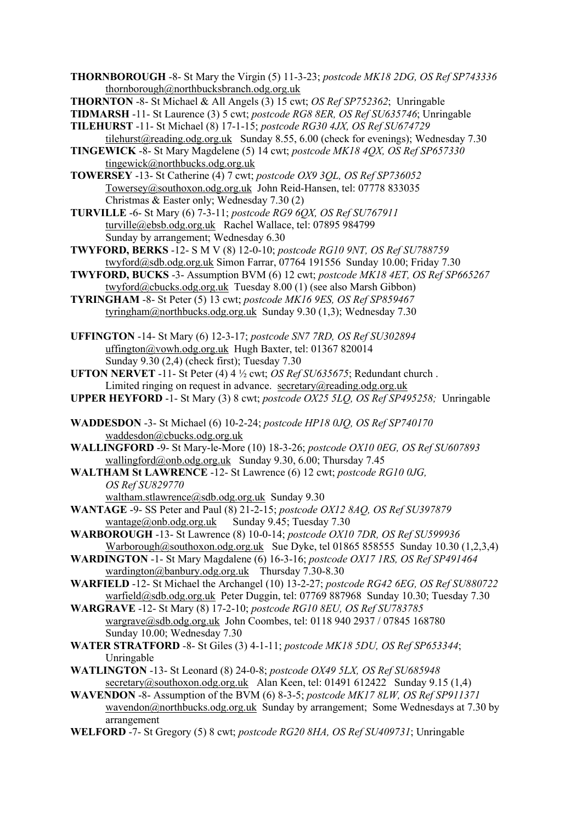**THORNBOROUGH** -8- St Mary the Virgin (5) 11-3-23; *postcode MK18 2DG, OS Ref SP743336* [thornborough@northbucksbranch.odg.org.uk](mailto:thornborough@northbucksbranch.odg.org.uk)

- **TIDMARSH** -11- St Laurence (3) 5 cwt; *postcode RG8 8ER, OS Ref SU635746*; Unringable
- **TILEHURST** -11- St Michael (8) 17-1-15; *postcode RG30 4JX, OS Ref SU674729* [tilehurst@reading.odg.org.uk](mailto:tilehurst@reading.odg.org.uk) Sunday 8.55, 6.00 (check for evenings); Wednesday 7.30
- **TINGEWICK** -8- St Mary Magdelene (5) 14 cwt; *postcode MK18 4QX, OS Ref SP657330* [tingewick@northbucks.odg.org.uk](mailto:tingewick@northbucks.odg.org.uk)

**TOWERSEY** -13- St Catherine (4) 7 cwt; *postcode OX9 3QL, OS Ref SP736052* [Towersey@southoxon.odg.org.uk](mailto:Towersey@southoxon.odg.org.uk) John Reid-Hansen, tel: 07778 833035 Christmas & Easter only; Wednesday 7.30 (2)

- **TURVILLE** -6- St Mary (6) 7-3-11; *postcode RG9 6QX, OS Ref SU767911* turville@ebsb.odg.org.uk Rachel Wallace, tel: 07895 984799 Sunday by arrangement; Wednesday 6.30
- **TWYFORD, BERKS** -12- S M V (8) 12-0-10; *postcode RG10 9NT, OS Ref SU788759* [twyford@sdb.odg.org.uk](mailto:twyford@sdb.odg.org.uk) Simon Farrar, 07764 191556 Sunday 10.00; Friday 7.30
- **TWYFORD, BUCKS** -3- Assumption BVM (6) 12 cwt; *postcode MK18 4ET, OS Ref SP665267* [twyford@cbucks.odg.org.uk](mailto:twyford@cbucks.odg.org.uk) Tuesday 8.00 (1) (see also Marsh Gibbon)
- **TYRINGHAM** -8- St Peter (5) 13 cwt; *postcode MK16 9ES, OS Ref SP859467* [tyringham@northbucks.odg.org.uk](mailto:tyringham@northbucks.odg.org.uk) Sunday 9.30 (1,3); Wednesday 7.30
- **UFFINGTON** -14- St Mary (6) 12-3-17; *postcode SN7 7RD, OS Ref SU302894* [uffington@vowh.odg.org.uk](mailto:uffington@vowh.odg.org.uk) Hugh Baxter, tel: 01367 820014 Sunday 9.30 (2,4) (check first); Tuesday 7.30
- **UFTON NERVET** -11- St Peter (4) 4 ½ cwt; *OS Ref SU635675*; Redundant church . Limited ringing on request in advance. [secretary@reading.odg.org.uk](mailto:secretary@reading.odg.org.uk)
- **UPPER HEYFORD** -1- St Mary (3) 8 cwt; *postcode OX25 5LQ, OS Ref SP495258;* Unringable
- **WADDESDON** -3- St Michael (6) 10-2-24; *postcode HP18 0JQ, OS Ref SP740170* [waddesdon@cbucks.odg.org.uk](mailto:waddesdon@cbucks.odg.org.uk)
- **WALLINGFORD** -9- St Mary-le-More (10) 18-3-26; *postcode OX10 0EG, OS Ref SU607893* [wallingford@onb.odg.org.uk](mailto:wallingford@onb.odg.org.uk) Sunday 9.30, 6.00; Thursday 7.45
- **WALTHAM St LAWRENCE** -12- St Lawrence (6) 12 cwt; *postcode RG10 0JG, OS Ref SU829770*
	- [waltham.stlawrence@sdb.odg.org.uk](mailto:waltham.stlawrence@sdb.odg.org.uk) Sunday 9.30
- **WANTAGE** -9- SS Peter and Paul (8) 21-2-15; *postcode OX12 8AQ, OS Ref SU397879* [wantage@onb.odg.org.uk](mailto:wantage@onb.odg.org.uk) Sunday 9.45; Tuesday 7.30
- **WARBOROUGH** -13- St Lawrence (8) 10-0-14; *postcode OX10 7DR, OS Ref SU599936* [Warborough@southoxon.odg.org.uk](mailto:Warborough@southoxon.odg.org.uk) Sue Dyke, tel 01865 858555 Sunday 10.30 (1,2,3,4)
- **WARDINGTON** -1- St Mary Magdalene (6) 16-3-16; *postcode OX17 1RS, OS Ref SP491464* [wardington@banbury.odg.org.uk](mailto:wardington@banbury.odg.org.uk) Thursday 7.30-8.30
- **WARFIELD** -12- St Michael the Archangel (10) 13-2-27; *postcode RG42 6EG, OS Ref SU880722* [warfield@sdb.odg.org.uk](mailto:warfield@sdb.odg.org.uk) Peter Duggin, tel: 07769 887968 Sunday 10.30; Tuesday 7.30
- **WARGRAVE** -12- St Mary (8) 17-2-10; *postcode RG10 8EU, OS Ref SU783785* [wargrave@sdb.odg.org.uk](mailto:wargrave@sdb.odg.org.uk) John Coombes, tel: 0118 940 2937 / 07845 168780 Sunday 10.00; Wednesday 7.30
- **WATER STRATFORD** -8- St Giles (3) 4-1-11; *postcode MK18 5DU, OS Ref SP653344*; Unringable
- **WATLINGTON** -13- St Leonard (8) 24-0-8; *postcode OX49 5LX, OS Ref SU685948* [secretary@southoxon.odg.org.uk](mailto:secretary@southoxon.odg.org.uk) Alan Keen, tel: 01491 612422 Sunday 9.15 (1,4)
- **WAVENDON** -8- Assumption of the BVM (6) 8-3-5; *postcode MK17 8LW, OS Ref SP911371* [wavendon@northbucks.odg.org.uk](mailto:wavendon@northbucks.odg.org.uk) Sunday by arrangement; Some Wednesdays at 7.30 by arrangement
- **WELFORD** -7- St Gregory (5) 8 cwt; *postcode RG20 8HA, OS Ref SU409731*; Unringable

**THORNTON** -8- St Michael & All Angels (3) 15 cwt; *OS Ref SP752362*; Unringable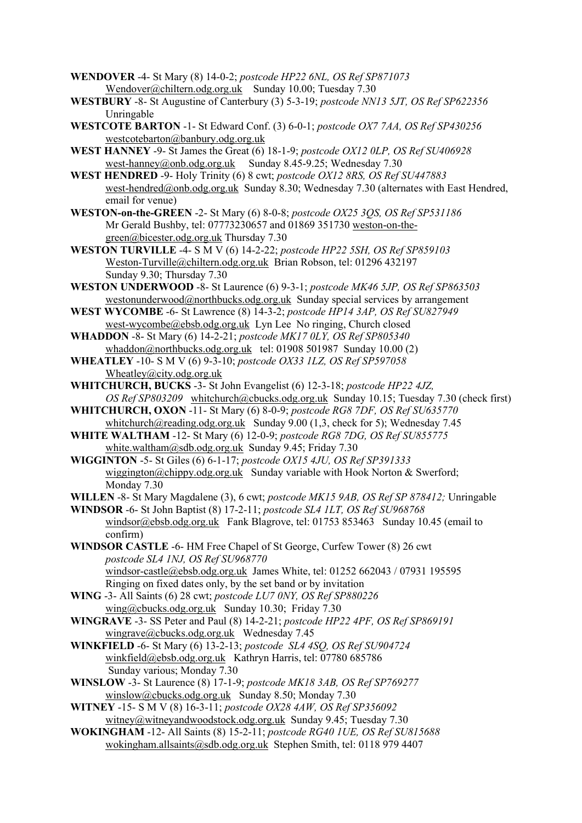- **WENDOVER** -4- St Mary (8) 14-0-2; *postcode HP22 6NL, OS Ref SP871073* [Wendover@chiltern.odg.org.uk](mailto:Wendover@chiltern.odg.org.uk) Sunday 10.00; Tuesday 7.30
- **WESTBURY** -8- St Augustine of Canterbury (3) 5-3-19; *postcode NN13 5JT, OS Ref SP622356* Unringable
- **WESTCOTE BARTON** -1- St Edward Conf. (3) 6-0-1; *postcode OX7 7AA, OS Ref SP430256* [westcotebarton@banbury.odg.org.uk](mailto:westcotebarton@banbury.odg.org.uk)
- **WEST HANNEY** -9- St James the Great (6) 18-1-9; *postcode OX12 0LP, OS Ref SU406928* [west-hanney@onb.odg.org.uk](mailto:west-hanney@onb.odg.org.uk) Sunday 8.45-9.25; Wednesday 7.30
- **WEST HENDRED** -9- Holy Trinity (6) 8 cwt; *postcode OX12 8RS, OS Ref SU447883* [west-hendred@onb.odg.org.uk](mailto:west-hendred@onb.odg.org.uk) Sunday 8.30; Wednesday 7.30 (alternates with East Hendred, email for venue)
- **WESTON-on-the-GREEN** -2- St Mary (6) 8-0-8; *postcode OX25 3QS, OS Ref SP531186* Mr Gerald Bushby, tel: 07773230657 and 01869 351730 [weston-on-the](mailto:weston-on-the-green@bicester.odg.org.uk)[green@bicester.odg.org.uk](mailto:weston-on-the-green@bicester.odg.org.uk) Thursday 7.30
- **WESTON TURVILLE** -4- S M V (6) 14-2-22; *postcode HP22 5SH, OS Ref SP859103* [Weston-Turville@chiltern.odg.org.uk](mailto:Weston-Turville@chiltern.odg.org.uk) Brian Robson, tel: 01296 432197 Sunday 9.30; Thursday 7.30
- **WESTON UNDERWOOD** -8- St Laurence (6) 9-3-1; *postcode MK46 5JP, OS Ref SP863503* [westonunderwood@northbucks.odg.org.uk](mailto:westonunderwood@northbucks.odg.org.uk) Sunday special services by arrangement
- **WEST WYCOMBE** -6- St Lawrence (8) 14-3-2; *postcode HP14 3AP, OS Ref SU827949* [west-wycombe@ebsb.odg.org.uk](mailto:west-wycombe@ebsb.odg.org.uk) Lyn Lee No ringing, Church closed
- **WHADDON** -8- St Mary (6) 14-2-21; *postcode MK17 0LY, OS Ref SP805340* [whaddon@northbucks.odg.org.uk](mailto:whaddon@northbucks.odg.org.uk) tel: 01908 501987 Sunday 10.00 (2)
- **WHEATLEY** -10- S M V (6) 9-3-10; *postcode OX33 1LZ, OS Ref SP597058* [Wheatley@city.odg.org.uk](mailto:Wheatley@city.odg.org.uk)
- **WHITCHURCH, BUCKS** -3- St John Evangelist (6) 12-3-18; *postcode HP22 4JZ, OS Ref SP803209* whitchurch@cbucks.odg.org.uk Sunday 10.15; Tuesday 7.30 (check first)
- **WHITCHURCH, OXON** -11- St Mary (6) 8-0-9; *postcode RG8 7DF, OS Ref SU635770* [whitchurch@reading.odg.org.uk](https://mail2.odg.org.uk:2083/cpsess3220075303/3rdparty/mailman/options/alltowers_reading.odg.org.uk/whitchurch--at--reading.odg.org.uk) Sunday 9.00 (1,3, check for 5); Wednesday 7.45
- **WHITE WALTHAM** -12- St Mary (6) 12-0-9; *postcode RG8 7DG, OS Ref SU855775* [white.waltham@sdb.odg.org.uk](mailto:white.waltham@sdb.odg.org.uk) Sunday 9.45; Friday 7.30
- **WIGGINTON** -5- St Giles (6) 6-1-17; *postcode OX15 4JU, OS Ref SP391333* [wiggington@chippy.odg.org.uk](mailto:wiggington@chippy.odg.org.uk) Sunday variable with Hook Norton & Swerford; Monday 7.30
- **WILLEN** -8- St Mary Magdalene (3), 6 cwt; *postcode MK15 9AB, OS Ref SP 878412;* Unringable
- **WINDSOR** -6- St John Baptist (8) 17-2-11; *postcode SL4 1LT, OS Ref SU968768* [windsor@ebsb.odg.org.uk](mailto:windsor@ebsb.odg.org.uk) Fank Blagrove, tel: 01753 853463 Sunday 10.45 (email to confirm)
- **WINDSOR CASTLE** -6- HM Free Chapel of St George, Curfew Tower (8) 26 cwt *postcode SL4 1NJ, OS Ref SU968770* [windsor-castle@ebsb.odg.org.uk](mailto:windsor-castle@ebsb.odg.org.uk) James White, tel: 01252 662043 / 07931 195595 Ringing on fixed dates only, by the set band or by invitation
- **WING** -3- All Saints (6) 28 cwt; *postcode LU7 0NY, OS Ref SP880226* wing@cbucks.odg.org.uk Sunday 10.30; Friday 7.30
- **WINGRAVE** -3- SS Peter and Paul (8) 14-2-21; *postcode HP22 4PF, OS Ref SP869191* wingrave@cbucks.odg.org.uk Wednesday 7.45
- **WINKFIELD** -6- St Mary (6) 13-2-13; *postcode SL4 4SQ, OS Ref SU904724* winkfield@ebsb.odg.org.uk Kathryn Harris, tel: 07780 685786 Sunday various; Monday 7.30
- **WINSLOW** -3- St Laurence (8) 17-1-9; *postcode MK18 3AB, OS Ref SP769277* winslow@cbucks.odg.org.uk Sunday 8.50; Monday 7.30
- **WITNEY** -15- S M V (8) 16-3-11; *postcode OX28 4AW, OS Ref SP356092* [witney@witneyandwoodstock.odg.org.uk](mailto:witney@witneyandwoodstock.odg.org.uk) Sunday 9.45; Tuesday 7.30
- **WOKINGHAM** -12- All Saints (8) 15-2-11; *postcode RG40 1UE, OS Ref SU815688* [wokingham.allsaints@sdb.odg.org.uk](mailto:wokingham.allsaints@sdb.odg.org.uk) Stephen Smith, tel: 0118 979 4407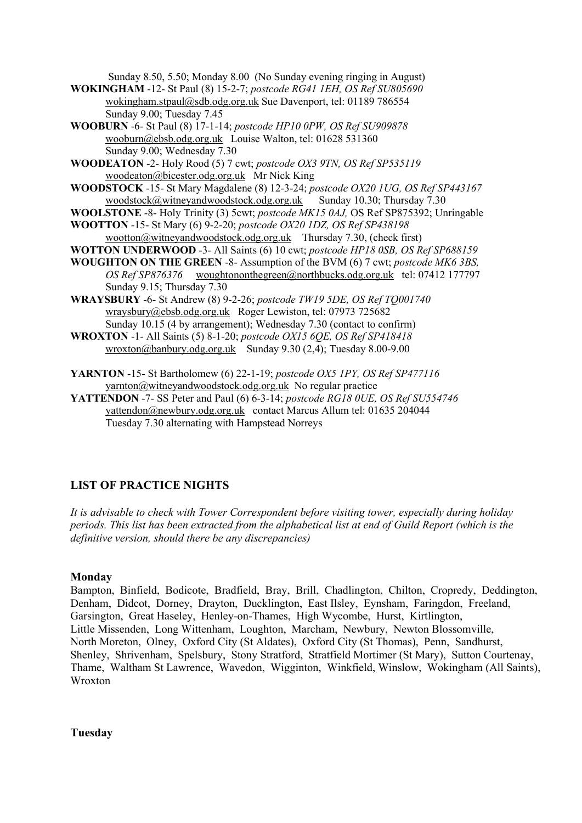Sunday 8.50, 5.50; Monday 8.00 (No Sunday evening ringing in August)

- **WOKINGHAM** -12- St Paul (8) 15-2-7; *postcode RG41 1EH, OS Ref SU805690* [wokingham.stpaul@sdb.odg.org.uk](mailto:wokingham.stpaul@sdb.odg.org.uk) Sue Davenport, tel: 01189 786554 Sunday 9.00; Tuesday 7.45
- **WOOBURN** -6- St Paul (8) 17-1-14; *postcode HP10 0PW, OS Ref SU909878* [wooburn@ebsb.odg.org.uk](mailto:wooburn@ebsb.odg.org.uk) Louise Walton, tel: 01628 531360 Sunday 9.00; Wednesday 7.30

**WOODEATON** -2- Holy Rood (5) 7 cwt; *postcode OX3 9TN, OS Ref SP535119* woodeaton@bicester.odg.org.ukMr Nick King

- **WOODSTOCK** -15- St Mary Magdalene (8) 12-3-24; *postcode OX20 1UG, OS Ref SP443167* [woodstock@witneyandwoodstock.odg.org.uk](mailto:woodstock@witneyandwoodstock.odg.org.uk) Sunday 10.30; Thursday 7.30
- **WOOLSTONE** -8- Holy Trinity (3) 5cwt; *postcode MK15 0AJ,* OS Ref SP875392; Unringable
- **WOOTTON** -15- St Mary (6) 9-2-20; *postcode OX20 1DZ, OS Ref SP438198* [wootton@witneyandwoodstock.odg.org.uk](mailto:wootton@witneyandwoodstock.odg.org.uk) Thursday 7.30, (check first)
- **WOTTON UNDERWOOD** -3- All Saints (6) 10 cwt; *postcode HP18 0SB, OS Ref SP688159*
- **WOUGHTON ON THE GREEN** -8- Assumption of the BVM (6) 7 cwt; *postcode MK6 3BS, OS Ref SP876376* [woughtononthegreen@northbucks.odg.org.uk](mailto:woughtononthegreen@northbucks.odg.org.uk) tel: 07412 177797 Sunday 9.15; Thursday 7.30
- **WRAYSBURY** -6- St Andrew (8) 9-2-26; *postcode TW19 5DE, OS Ref TQ001740* wraysbury@ebsb.odg.org.uk Roger Lewiston, tel: 07973 725682 Sunday 10.15 (4 by arrangement); Wednesday 7.30 (contact to confirm)
- **WROXTON** -1- All Saints (5) 8-1-20; *postcode OX15 6QE, OS Ref SP418418* [wroxton@banbury.odg.org.uk](mailto:wroxton@banbury.odg.org.uk) Sunday 9.30 (2,4); Tuesday 8.00-9.00

**YARNTON** -15- St Bartholomew (6) 22-1-19; *postcode OX5 1PY, OS Ref SP477116* [yarnton@witneyandwoodstock.odg.org.uk](mailto:yarnton@witneyandwoodstock.odg.org.uk) No regular practice

**YATTENDON** -7- SS Peter and Paul (6) 6-3-14; *postcode RG18 0UE, OS Ref SU554746* [yattendon@newbury.odg.org.uk](mailto:yattendon@newbury.odg.org.uk) contact Marcus Allum tel: 01635 204044 Tuesday 7.30 alternating with Hampstead Norreys

# **LIST OF PRACTICE NIGHTS**

*It is advisable to check with Tower Correspondent before visiting tower, especially during holiday periods. This list has been extracted from the alphabetical list at end of Guild Report (which is the definitive version, should there be any discrepancies)*

#### **Monday**

Bampton, Binfield, Bodicote, Bradfield, Bray, Brill, Chadlington, Chilton, Cropredy, Deddington, Denham, Didcot, Dorney, Drayton, Ducklington, East Ilsley, Eynsham, Faringdon, Freeland, Garsington, Great Haseley, Henley-on-Thames, High Wycombe, Hurst, Kirtlington, Little Missenden, Long Wittenham, Loughton, Marcham, Newbury, Newton Blossomville, North Moreton, Olney, Oxford City (St Aldates), Oxford City (St Thomas), Penn, Sandhurst, Shenley, Shrivenham, Spelsbury, Stony Stratford, Stratfield Mortimer (St Mary), Sutton Courtenay, Thame, Waltham St Lawrence, Wavedon, Wigginton, Winkfield, Winslow, Wokingham (All Saints), Wroxton

**Tuesday**